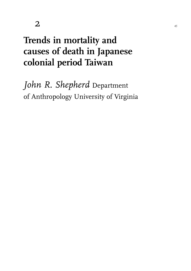# **Trends in mortality and causes of death in Japanese colonial period Taiwan**

*John R. Shepherd* Department of Anthropology University of Virginia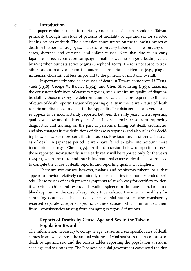#### *<sup>46</sup>* **Introduction**

This paper explores trends in mortality and causes of death in colonial Taiwan primarily through the study of patterns of mortality by age and sex for selected leading causes of death. The discussion concentrates on the following causes of death in the period 1905-1942: malaria, respiratory tuberculosis, respiratory diseases, diarrhea and enteritis, and infant causes. Note that due to an early Japanese period vaccination campaign, smallpox was no longer a leading cause by 1905 when our data series begins (Shepherd 2001). There is not space to treat other causes, many of them the source of important epidemics (e.g., plague, influenza, cholera), but less important to the patterns of mortality overall.

Important early studies of causes of death in Taiwan come from Li T'engyueh (1938), George W. Barclay (1954), and Chen Shao-hsing (1955). Ensuring the consistent definition of cause categories, and a minimum quality of diagnostic skill by those making the determinations of cause is a prerequisite to the use of cause of death reports. Issues of reporting quality in the Taiwan cause of death reports are discussed in detail in the Appendix. The data series for several causes appear to be inconsistently reported between the early years when reporting quality was low and the later years. Such inconsistencies arise from improving diagnostics and training on the part of personnel filling out death certificates, and also changes in the definitions of disease categories (and also rules for deciding between two or more contributing causes). Previous studies of trends in causes of death in Japanese period Taiwan have failed to take into account these inconsistencies (e.g., Chen 1955). In the discussion below of specific causes, those reported inconsistently in the early years will be reported only for the years 1924-41, when the third and fourth international cause of death lists were used to compile the cause of death reports, and reporting quality was highest.

There are two causes, however, malaria and respiratory tuberculosis, that appear to provide relatively consistently reported series for more extended periods. These causes of death present symptoms relatively easy for certifiers to identify, periodic chills and fevers and swollen spleens in the case of malaria, and bloody sputum in the case of respiratory tuberculosis. The international lists for compiling death statistics in use by the colonial authorities also consistently reserved separate categories specific to these causes, which immunized them from inconsistencies arising from changing category definitions.

## **Reports of Deaths by Cause, Age and Sex in the Taiwan Population Record**

The information necessary to compute age, cause, and sex specific rates of death comes from two sources: the annual volumes of vital statistics reports of cause of death by age and sex, and the census tables reporting the population at risk in each age and sex category. The Japanese colonial government conducted the first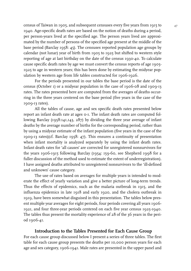census of Taiwan in 1905, and subsequent censuses every five years from 1915 to *47* 1940. Age-specific death rates are based on the notion of deaths during a period, per person-years lived at the specified age. The person years lived are approximated by the number of persons of the specified age present at the middle of the base period (Barclay 1958: 45). The censuses reported population age groups by calendar (not lunar) year of birth from 1905 to 1925 but shifted to western style reporting of age at last birthday on the date of the census 1930-40. To calculate cause specific death rates by age we must convert the census reports of age 1905- 1925 to age in western years; this has been done by estimating the midyear population by western age from life tables constructed for 1906-1926.

For the periods presented in our tables the base period is the date of the census (October 1) or a midyear population in the case of 1906-08 and 1909-13 rates. The rates presented here are computed from the averages of deaths occurring in the three years centered on the base period (five years in the case of the 1909-13 rates).

All the tables of cause, age and sex specific death rates presented below report an infant death rate at ages 0-1. The infant death rates are computed following Barclay (1958:141,143, 287) by dividing the three year average of infant deaths by the average number of births for the corresponding period, rather than by using a midyear estimate of the infant population (five years in the case of the 1909-13 rates)(cf. Barclay 1958: 47). This ensures a continuity of presentation when infant mortality is analyzed separately by using the infant death rates. Infant death rates for 'all causes' are corrected for unregistered nonsurvivors for the years 1906-1915 following Barclay (1954: 159-60, see Shepherd 1998 for a fuller discussion of the method used to estimate the extent of underregistration). I have assigned deaths attributed to unregistered nonsurvivors to the 'ill-defined and unknown' cause category.

The use of rates based on averages for multiple years is intended to moderate the effect of yearly variation and give a better picture of long-term trends. Thus the effects of epidemics, such as the malaria outbreak in 1915, and the influenza epidemics in late 1918 and early 1920, and the cholera outbreak in 1919, have been somewhat disguised in this presentation. The tables below present multiple year averages for eight periods, four periods covering all years 1906- 1921, and four three-year periods centered on each five year census 1925-1940. The tables thus present the mortality experience of 28 of the 36 years in the period 1906-41.

#### **Introduction to the Tables Presented for Each Cause Group**

For each cause group discussed below I present a series of three tables. The first table for each cause group presents the deaths per 10,000 person years for each age and sex category, 1906-1941. Male rates are presented in the upper panel and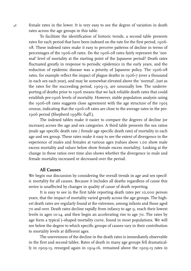*48* female rates in the lower. It is very easy to see the degree of variation in death rates across the age groups in this table.

To facilitate the identification of historic trends, a second table presents rates for each period that have been indexed on the rate for the first period, 1906- 08. These indexed rates make it easy to perceive patterns of decline in terms of percentages of the 1906-08 rates. Do the 1906-08 rates fairly represent the 'normal' level of mortality at the starting point of the Japanese period? Death rates fluctuated greatly in response to periodic epidemics in the early years, and the reduction of epidemic disease was a priority of Japanese policy. The 1906-08 rates, for example reflect the impact of plague deaths in 1906-7 (over a thousand in each sex each year), and may be somewhat elevated above the 'normal', just as the rates for the succeeding period, 1909-13, are unusually low. The underreporting of deaths prior to 1906 means that we lack reliable death rates that could establish pre-1906 levels of mortality. However, stable population analysis using the 1906-08 rates suggests close agreement with the age structure of the 1905 census, indicating that the 1906-08 rates are close to the average rates in the pre-1906 period (Shepherd 1998b: 64ff.).

The indexed tables make it easier to compare the degrees of decline (or increase) across the age and sex categories. A third table presents the sex ratios (male age specific death rate / female age specific death rate) of mortality in each age and sex group. These rates make it easy to see the extent of divergence in the experience of males and females at various ages (values above 1.00 show male excess mortality and values below show female excess mortality). Looking at the change in these ratios over time also shows whether the divergence in male and female mortality increased or decreased over the period.

#### **All Causes**

We begin our discussion by considering the overall trends in age and sex specific mortality for all causes. Because it includes all deaths regardless of cause this series is unaffected by changes in quality of cause of death reporting.

It is easy to see in the first table reporting death rates per 10,000 person years, that the impact of mortality varied greatly across the age groups. The highest death rates are regularly found at the extremes, among infants and those aged 70 and over. Death rates decline rapidly from infancy to age 9, reach their lowest levels in ages 10-14, and then begin an accelerating rise to age 70. The rates by age form a typical j–shaped mortality curve, found in most populations. We will see below the degree to which specific groups of causes vary in their contribution to mortality levels at different ages.

The unevenness of the decline in the death rates is immediately observable in the first and second tables. Rates of death in many age groups fell dramatically in 1909-13, resurged again in 1914-16, remained above the 1909-13 rates in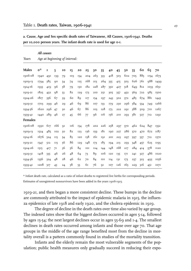|         | All causes           |     |                 |    |                               |                |     |     |           |                |     |     |     |     |                 |             |
|---------|----------------------|-----|-----------------|----|-------------------------------|----------------|-----|-----|-----------|----------------|-----|-----|-----|-----|-----------------|-------------|
| Years   |                      |     |                 |    | Age at beginning of interval: |                |     |     |           |                |     |     |     |     |                 |             |
| Males   | $\mathsf{o}^{\star}$ | I   | 5               | IO | 15                            | 20             | 25  | 30  | 35        | 40             | 45  | 50  | 55  | 60  | 65              | 70          |
| 1906-08 | 1940                 | 491 | 139             | 79 | IO3                           | 154            | 204 | 263 | 333       | 418            | 503 | 602 | 705 | 885 | II54            | 1673        |
| 1909-13 | 1794                 | 385 | Q               | 54 | 74                            | 125            | 168 | 2I3 | 264       | 335            | 415 | 503 | 626 | 761 | 988             | 1499        |
| 1914-16 | 1933                 | 419 | 96              | 58 | 79                            | 130            | 182 | 228 | 287       | 350            | 427 | 518 | 649 | 812 | 1033            | 1651        |
| 1919-21 | 1825                 | 432 | $\Omega$        | 53 | 82                            | <b>129</b>     | 173 | 210 | 25I       | 305            | 357 | 452 | 569 | 722 | 985             | 1500        |
| 1924-26 | 1817                 | 356 | 67              | 39 | 60                            | 89             | II7 | 154 | 197       | 243            | 302 | 372 | 485 | 674 | 88 <sub>I</sub> | 1443        |
| 1929-31 | 1703                 | 299 | 46              | 29 | 46                            | 69             | 86  | IO7 | 133       | 179            | 230 | 296 | 384 | 534 | 749             | 1266        |
| 1934-36 | 1620                 | 296 | 47              | 30 | 46                            | 67             | 86  | IO3 | 128       | 173            | 222 | 29I | 388 | 509 | 710             | 1267        |
| 1939-41 | 1440                 | 28q | 46              | 27 | 45                            | 66             | 77  | 96  | 116       | 156            | 210 | 293 | 38I | 527 | 712             | 1291        |
| Females |                      |     |                 |    |                               |                |     |     |           |                |     |     |     |     |                 |             |
| 1906-08 | 1930                 | 617 | 166             | QI | 116                           | 154            | 178 | 202 | 226       | $\mathtt{258}$ | 297 | 370 | 462 | 624 | 847             | 1352        |
| 1909-13 | 1524                 | 485 | IO <sub>2</sub> | 50 | 82                            | 123            | 136 | 159 | 181       | 190            | 227 | 286 | 370 | 470 | 672             | 1187        |
| 1914-16 | 1676                 | 524 | 115             | 54 | 83                            | <b>I20</b>     | 138 | 161 | 191       | 2OI            | 223 | 297 | 397 | 537 | 712             | 1370        |
| 1919-21 | 1547                 | 512 | <b>II5</b>      | 56 | 86                            | <b>129</b>     | 148 | 173 | 185       | 194            | 213 | 259 | 348 | 457 | 625             | II95        |
| 1924-26 | 1515                 | 417 | 7I              | 36 | 56                            | 8 <sub>4</sub> | IOI | 124 | 144       | 148            | 168 | 217 | 284 | 414 | 578             | <b>II20</b> |
| 1929-31 | 1418                 | 335 | 46              | 26 | 48                            | 64             | 73  | 89  | 106       | 120            | 135 | I7I | 24I | 327 | 486             | 1020        |
| 1934-36 | 1356                 | 324 | 48              | 28 | 46                            | 62             | 70  | 84  | $IOI$     | II4            | 131 | 173 | 237 | 323 | 493             | 1056        |
| 1939-41 | 1208                 | 317 | 45              | 24 | 38                            | 53             | 61  | 76  | <b>QI</b> | IO7            | 126 | 165 | 229 | 316 | 451             | 1071        |

**a. Cause, Age and Sex specific death rates of Taiwanese, All Causes, 1906-1941. Deaths per 10,000 person years. The infant death rate is used for age 0-1**.

\* Infant death rate, calculated as a ratio of infant deaths to registered live births for corresponding periods. Estimates of unregistered nonsurvivors have been added in the years 1906-1915.

1919-21, and then began a more consistent decline. These bumps in the decline are commonly attributed to the impact of epidemic malaria in 1915, the influenza epidemics of late 1918 and early 1920, and the cholera epidemic in 1919.

The degree of decline in the death rates over time also varied by age group. The indexed rates show that the biggest declines occurred in ages 5-14, followed by ages 15-54; the next largest declines occur in ages 55-69 and 1-4. The smallest declines in death rates occurred among infants and those over age 70. That age groups in the middle of the age range benefited most from the decline in mortality overall is a pattern commonly found in studies of the mortality transition.

Infants and the elderly remain the most vulnerable segments of the population; public health measures only gradually succeed in reducing their expo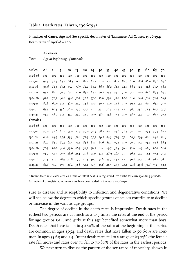**b. Indices of Cause, Age and Sex specific death rates of Taiwanese, All Causes, 1906-1941. Death rates of 1906-8 = 100**

|         | All causes           |                               |      |      |               |      |      |               |                |                      |           |               |                |      |      |       |
|---------|----------------------|-------------------------------|------|------|---------------|------|------|---------------|----------------|----------------------|-----------|---------------|----------------|------|------|-------|
| Years   |                      | Age at beginning of interval: |      |      |               |      |      |               |                |                      |           |               |                |      |      |       |
| Males   | $\mathtt{o}^{\star}$ | I                             | 5    | IO   | 15            | 20   | 25   | 30            | 35             | 40                   | 45        | 50            | 55             | 60   | 65   | 70    |
| 1906-08 | 100                  | 100                           | 100  | 100  | 100           | 100  | 100  | 100           | 100            | 100                  | 100       | 100           | 100            | 100  | 100  | 100   |
| 1909-13 | 92.5                 | 78.4                          | 64.7 | 68.4 | 71.8          | 81.2 | 82.4 | 81.0          | 79.3           | 80.1                 | 82.5      | 83.6          | 88.8           | 86.0 | 85.6 | 89.6  |
| 1914-16 | 99.6                 | 85.3                          | 69.1 | 73.4 | 76.7          | 84.4 | 89.2 | 86.7 86.2     |                | 83.7                 | 84.9      | $86.0$ $92.1$ |                | 91.8 | 80.5 | 98.7  |
| 1919-21 | 94.1                 | 88.0                          | 70.5 | 67.1 | 79.6          | 83.8 | 84.8 | 79.8          | 75.4           | 73.0                 | 71.0      | 75.1          | 80.7           | 81.6 | 85.4 | 89.7  |
| 1924-26 | 93.7                 | 72.5                          | 48.2 | 49.4 | 58.3          | 57.8 | 57.4 | 58.6          | 59.2           | 58.1                 | 60.0 61.8 |               | 68.8           | 76.2 | 76.3 | 86.3  |
| 1929-31 | 87.8                 | 60.9 33.1                     |      | 36.7 | 44.7          | 44.8 | 42.2 |               | 40.7 39.9 42.8 |                      | 45.7      | 49.2          | 54.5           | 60.3 | 64.9 | 75.7  |
| 1934-36 | 83.5                 | 60.33.8                       |      | 38.0 | 44.7          | 43.5 | 42.2 | 39.2          | 38.4           | 41.4                 | 44.1      | 48.3          | 55.0           | 57.5 | 61.5 | 75.7  |
| 1939-41 | 74.2                 | $58.9$ 33.1                   |      | 34.2 | 43.7          | 42.9 | 37.7 | $36.5$ $34.8$ |                | 37.3                 | 41.7      | 48.7, 54.0    |                | 59.5 | 61.7 | 77.2  |
| Females |                      |                               |      |      |               |      |      |               |                |                      |           |               |                |      |      |       |
| 1906-08 | 100                  | 100                           | 100  | 100  | 100           | 100  | 100  | 100           | 100            | 100                  | 100       | 100           | 100            | 100  | 100  | 100   |
| 1909-13 | 79.0                 | 78.6                          | 61.4 | 54.9 | 70.7          | 79.9 | 76.4 | 78.7          | 80.1           | 73.6                 | 76.4      | 77.3          | 80.1           | 75.3 | 79.3 | 87.8  |
| 1914-16 | 86.8                 | 84.9                          | 69.3 | 59.3 | 71.6          | 77.9 | 77.5 | 79.7          | 84.5           | 77.9                 | 75.1      | 80.3          | 85.9           | 86.1 | 84.1 | 101.3 |
| 1919-21 | 80.2                 | 83.0                          | 69.3 | 61.5 | 74.1          | 83.8 | 83.1 | $85.6$ $81.9$ |                | 75.2                 | 71.7      | 70.0          | 75.3           | 73.2 | 73.8 | 88.4  |
| 1924-26 | 78.5                 | 67.6                          | 42.8 | 39.6 | 48.3          | 54.5 | 56.7 |               |                | $61.4$ $63.7$ $57.4$ | 56.6      | 58.6          | 61.5           | 66.3 | 68.2 | 82.8  |
| 1929-31 | 73.5                 | 54.3                          | 27.7 | 28.6 | 41.4          | 41.6 | 41.0 | 44.1          |                | 46.9 46.5            | 45.5      | 46.2          | 52.2           | 52.4 | 57.4 | 75.4  |
| 1934-36 | 70.3                 | 52.5                          | 28.9 | 30.8 | 39.7          | 40.3 | 39.3 | 41.6          | 44.7           | 44.2                 | 44.1      | 46.8          | 51.3           | 51.8 | 58.2 | 78.1  |
| 1939-41 | 62.6                 | 51.4                          | 27.1 |      | $26.4$ $32.8$ | 34.4 | 34.3 | 37.6          | 40.3           | 41.5                 | 42.4      |               | 44.6 49.6 50.6 |      | 53.2 | 79.2  |

\* Infant death rate, calculated as a ratio of infant deaths to registered live births for corresponding periods. Estimates of unregistered nonsurvivors have been added in the years 1906-1915.

sure to disease and susceptibility to infection and degenerative conditions. We will see below the degree to which specific groups of causes contribute to decline or increase in the various age groups.

The degree of decline in the death rates is impressive. Death rates in the earliest two periods are as much as 2 to 3 times the rates at the end of the period for age groups 5-14, and girls at this age benefited somewhat more than boys. Death rates that have fallen to 40-50% of the rates at the beginning of the period are common in ages 15-54, and death rates that have fallen to 50-60% are common in ages 55-69 and 1-4. Infant death rates fell to a range of 65-75% (the female rate fell more) and rates over 70 fell to 70-80% of the rates in the earliest periods.

We next turn to discuss the pattern of the sex ratios of mortality, shown in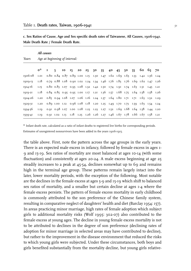| Years   | All causes | Age at beginning of interval: |  |                                                                            |  |  |  |  |  |  |
|---------|------------|-------------------------------|--|----------------------------------------------------------------------------|--|--|--|--|--|--|
|         | о*         | $\mathbf I$                   |  | 5 10 15 20 25 30 35 40 45 50 55 60 65 70                                   |  |  |  |  |  |  |
| 1906-08 | I.O.I      |                               |  | 0.80 0.84 0.87 0.89 1.00 1.15 1.30 1.47 1.62 1.69 1.63 1.53 1.42 1.36 1.24 |  |  |  |  |  |  |
| 1909-13 | 1.18       |                               |  | 0.79 0.88 1.08 0.90 1.02 1.24 1.34 1.46 1.76 1.83 1.76 1.69 1.62 1.47 1.26 |  |  |  |  |  |  |
| 1914-16 | I.I5       |                               |  | 0.80 0.83 1.07 0.95 1.08 1.32 1.42 1.50 1.74 1.91 1.74 1.63 1.51 1.45 1.21 |  |  |  |  |  |  |
| 1919-21 | 1.18       |                               |  | 0.84 0.85 0.95 0.95 1.00 1.17 1.21 1.36 1.57 1.68 1.75 1.64 1.58 1.58 1.26 |  |  |  |  |  |  |
| 1924-26 | I.20       |                               |  | 0.85 0.94 1.08 1.07 1.06 1.16 1.24 1.37 1.64 1.80 1.71 1.71 1.63 1.52 1.29 |  |  |  |  |  |  |
| 1929-31 | I.20       |                               |  | 0.89 1.00 1.12 0.96 1.08 1.18 1.20 1.25 1.49 1.70 1.73 1.59 1.63 1.54 1.24 |  |  |  |  |  |  |
| 1934-36 | 01.19      |                               |  | 0.91 0.98 1.07 1.00 1.08 1.23 1.23 1.27 1.52 1.69 1.68 1.64 1.58 1.44 1.20 |  |  |  |  |  |  |
| 1939-41 | 1.19       |                               |  | 0.91 1.02 1.13 1.18 1.25 1.26 1.26 1.27 1.46 1.67 1.78 1.66 1.67 1.58 1.21 |  |  |  |  |  |  |

**c. Sex Ratios of Cause, Age and Sex specific death rates of Taiwanese, All Causes, 1906-1941. Male Death Rate / Female Death Rate.**

\* Infant death rate, calculated as a ratio of infant deaths to registered live births for corresponding periods. Estimates of unregistered nonsurvivors have been added in the years 1906-1915.

the table above. First, note the pattern across the age groups in the early years. There is an expected male excess in infancy, followed by female excess in ages 1- 9 and 15-19. Sex ratios of mortality are most balanced at ages 10-14 (with some fluctuation) and consistently at ages 20-24. A male excess beginning at age 25 steadily increases to a peak at 45-54, declines somewhat up to 69 and remains high in the terminal age group. These patterns remain largely intact into the later, lower mortality periods, with the exception of the following. Most notable are the declines in the female excess at ages 5-9 and 15-19 which shift to balanced sex ratios of mortality, and a smaller but certain decline at ages 1-4 where the female excess persists. The pattern of female excess mortality in early childhood is commonly attributed to the son preference of the Chinese family system, resulting in comparative neglect of daughters' health and diet (Barclay 1954: 157). In areas practicing minor marriage, high rates of female adoption which subject girls to additional mortality risks (Wolf 1995: 302-07) also contributed to the female excess at young ages. The decline in young female excess mortality is not to be attributed to declines in the degree of son preference (declining rates of adoption for minor marriage in selected areas may have contributed to decline), but rather to the improvement in the disease environment that reduced the risks to which young girls were subjected. Under these circumstances, both boys and girls benefited substantially from the mortality decline, but young girls relative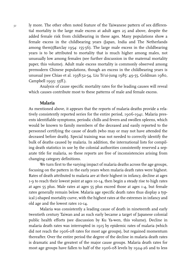*52* ly more. The other often noted feature of the Taiwanese pattern of sex differential mortality is the large male excess at adult ages 25 and above, despite the added female risk from childbearing in these ages. Many populations show a female excess in the childbearing years (Japan, India and The Netherlands among them)(Barclay 1954: 155-56). The large male excess in the childbearing years is to be attributed to mortality that is much higher among males, not unusually low among females (see further discussion in the maternal mortality paper, this volume). Adult male excess mortality is commonly observed among premodern Chinese populations, though an excess in the childbearing years is unusual (see Chiao et al. 1938:52-54, Liu Ts'ui-jung 1985: 49-55, Goldman 1980, Campbell 1995: 55ff.).

Analysis of cause specific mortality rates for the leading causes will reveal which causes contribute most to these patterns of male and female excess.

#### **Malaria**

As mentioned above, it appears that the reports of malaria deaths provide a relatively consistently reported series for the entire period, 1906-1941. Malaria presents identifiable symptoms, periodic chills and fevers and swollen spleens, which would be known to family members of the deceased and easily reported to the personnel certifying the cause of death (who may or may not have attended the deceased before death). Special training was not needed to correctly identify the bulk of deaths caused by malaria. In addition, the international lists for compiling death statistics in use by the colonial authorities consistently reserved a separate title for malaria, so these reports are free of inconsistencies arising from changing category definitions.

We turn first to the varying impact of malaria deaths across the age groups, focusing on the pattern in the early years when malaria death rates were highest. Rates of death attributed to malaria are at their highest in infancy, decline at ages 1-9 to reach their lowest point at ages 10-14, then begin a steady rise to high rates at ages 55 plus. Male rates at ages 55 plus exceed those at ages 1-4, but female rates generally remain below. Malaria age specific death rates thus display a typical j-shaped mortality curve, with the highest rates at the extremes in infancy and old age and the lowest rates 10-14.

Malaria was consistently a leading cause of death in nineteenth and early twentieth century Taiwan and as such early became a target of Japanese colonial public health efforts (see discussion by Ku Ya-wen, this volume). Decline in malaria death rates was interrupted in 1915 by epidemic rates of malaria (which did not reach the 1906-08 rates for most age groups), but regained momentum thereafter. Over the entire period the degree of the decline in malaria death rates is dramatic and the greatest of the major cause groups. Malaria death rates for most age groups have fallen to half of the 1906-08 levels by 1924-26 and to less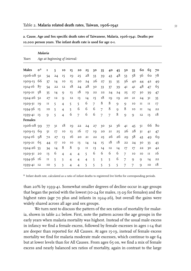|            | Malaria              |                               |                 |                |    |                |                |    |    |           |                |                |             |          |                |    |
|------------|----------------------|-------------------------------|-----------------|----------------|----|----------------|----------------|----|----|-----------|----------------|----------------|-------------|----------|----------------|----|
| Years      |                      | Age at beginning of interval: |                 |                |    |                |                |    |    |           |                |                |             |          |                |    |
| Males      | $\mathtt{o}^{\star}$ | I                             | $\overline{5}$  | IO             | 15 | 20             | 25             | 30 | 35 | 40        | 45             | 50             | 55          | 60       | 65             | 70 |
| 1906-08    | QI                   | 54                            | 24              | 15             | 19 | 25             | 28             | 33 | 39 | 43        | 48             | 53             | 58          | 56       | 60             | 78 |
| 1909-13    | 66                   | 37                            | <b>14</b>       | IO             | 15 | 20             | 24             | 26 | 27 | 33        | 35             | 36             | 40          | 44       | 42             | 49 |
| 1914-16    | 87                   | 54                            | 22              | <b>I2</b>      | 18 | 24             | 28             | 30 | 33 | 37        | 39             | 4I             | 4I          | 48       | 47             | 65 |
| 1919-21    | 58                   | 35                            | <b>I4</b>       | $\mathbf Q$    | 13 | 18             | IQ             | 22 | 22 | 24        | 24             | 25             | 27          | 30       | 39             | 47 |
| 1924-26    | 52                   | 27                            | <b>I2</b>       | $\Omega$       | 12 | 13             | 14             | 15 | 18 | IQ        | IQ             | 20             | 2I          | 24       | 3I             | 35 |
| 1929-31    | IQ                   | $\rm II$                      | 5               | $\overline{4}$ | 5  | 5              | 6              | 7  | 8  | 8         | $\Omega$       | $\mathsf{Q}$   | IO          | $\rm II$ | $\rm II$       | I7 |
| 1934-36    | 15                   | IO                            | $5\overline{)}$ | $\overline{4}$ | 5  | 6              | 6              | 6  | 7  | 8         | $\overline{Q}$ | 8              | IO          | $\rm II$ | 14             | 22 |
| 1939-41    | I3                   | $\overline{Q}$                | 5               | $\overline{4}$ | 6  | 7              | 6              | 6  | 7  | 7         | 8              | $\overline{Q}$ | $\mathbf Q$ | 12       | 13             | 18 |
| Females    |                      |                               |                 |                |    |                |                |    |    |           |                |                |             |          |                |    |
| 1906-08 99 |                      | 77                            | 3I              | 18             | IQ | 22             | 24             | 27 | 30 | 32        | 36             | 4I             | 45          | 5I       | 66             | 80 |
| 1909-13    | 69                   | 5I                            | I7              | IO             | 13 | 16             | I7             | IQ | 20 | 2I        | 25             | 26             | 28          | 3I       | 4 <sub>I</sub> | 47 |
| 1914-16    | 98                   | 72                            | 27              | 13             | 16 | 20             | 2I             | 22 | 25 | 26        | 26             | 29             | 38          | 43       | 49             | 69 |
| 1919-21    | 65                   | 44                            | I7              | IO             | IO | 13             | 14             | 14 | 15 | 18        | 18             | 22             | 24          | 30       | 33             | 43 |
| 1924-26    | 53                   | 34                            | <b>14</b>       | 8              | 8  | $\mathbf Q$    | II             | 13 | 14 | <b>I2</b> | 14             | I7             | I7          | 22       | 30             | 42 |
| 1929-31    | 20                   | I3                            | 6               | $\overline{4}$ | 4  | $\overline{4}$ | 5              | 6  | 6  | 6         | 6              | 7              | IO          | IO       | II             | 16 |
| 1934-36    | 16                   | $\rm II$                      | 5               | 3              | 4  | $\overline{4}$ | $\overline{4}$ | 5  | 5  | 5         | 6              | 7              | $\circ$     | $\circ$  | 14             | 22 |
| 1939-41    | <b>I2</b>            | IO                            | 5               | 3              | 4  | $\overline{4}$ | 5              | 5  | 5  | 5         | 5              | 7              | 7           | $\circ$  | IO             | 18 |

**a. Cause, Age and Sex specific death rates of Taiwanese, Malaria, 1906-1941. Deaths per 10,000 person years. The infant death rate is used for age 0-1.** 

\* Infant death rate, calculated as a ratio of infant deaths to registered live births for corresponding periods.

than 20% by 1939-41. Somewhat smaller degrees of decline occur in age groups that began the period with the lowest (10-24 for males, 15-29 for females) and the highest rates (age 70 plus and infants in 1924-26), but overall the gains were widely shared across all age and sex groups.

We turn next to discuss the pattern of the sex ratios of mortality for malaria, shown in table 2.c below. First, note the pattern across the age groups in the early years when malaria mortality was highest. Instead of the usual male excess in infancy we find a female excess, followed by female excesses in ages 1-14 that are deeper than reported for All Causes. At ages 15-19, instead of female excess mortality we find for malaria moderate male excesses, which continue to age 64 but at lower levels than for All Causes. From ages 65 on, we find a mix of female excess and nearly balanced sex ratios of mortality, again in contrast to the large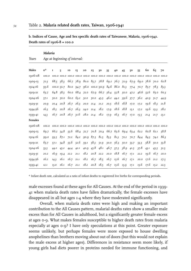**b. Indices of Cause, Age and Sex specific death rates of Taiwanese, Malaria, 1906-1941. Death rates of 1906-8 = 100.0**

|         | Malaria                       |                                                                                           |                                                                                           |               |                            |                                                |                                    |      |                                    |           |                     |      |           |                          |                |      |
|---------|-------------------------------|-------------------------------------------------------------------------------------------|-------------------------------------------------------------------------------------------|---------------|----------------------------|------------------------------------------------|------------------------------------|------|------------------------------------|-----------|---------------------|------|-----------|--------------------------|----------------|------|
| Years   | Age at beginning of interval: |                                                                                           |                                                                                           |               |                            |                                                |                                    |      |                                    |           |                     |      |           |                          |                |      |
| Males   | o*                            | $\mathbf I$                                                                               | 5                                                                                         | IO            | 15                         | 20                                             | 25                                 | 30   | 35                                 | 40        | 45                  | 50   | 55        | 60                       | 65             | 70   |
| 1906-08 | 100.0                         |                                                                                           | 100.0 100.0 100.0 100.0 100.0 100.0 100.0 100.0 100.0 100.0 100.0 100.0 100.0 100.0 100.0 |               |                            |                                                |                                    |      |                                    |           |                     |      |           |                          |                |      |
| 1909-13 | 72.5                          | 68.5, 58.3                                                                                |                                                                                           |               |                            | 66.7 78.9 80.0 85.7 78.8 69.2 76.7 72.9        |                                    |      |                                    |           |                     |      |           | 67.9 69.0 78.6 70.0 62.8 |                |      |
| 1914-16 | 95.6                          | 100.0 01.7                                                                                |                                                                                           |               |                            | 80.0 $94.7$ 96.0 100.0 90.9 84.6 86.0 81.3     |                                    |      |                                    |           |                     | 77.4 | 70.7      | 85.7                     | 78.3           | 83.3 |
| 1919-21 | 63.7                          | 64.8                                                                                      | 58.3                                                                                      |               |                            | 60.0 68.4 72.0 67.9 66.7 56.4 55.8 50.0 47.2   |                                    |      |                                    |           |                     |      | 46.6 53.6 |                          | 65.0           | 60.3 |
| 1924-26 | 57.1                          | 50.0                                                                                      | 50.0                                                                                      |               | $60.0\quad 63.2\quad 52.0$ |                                                | $50.0$ $45.5$ $46.2$ $44.2$ $39.6$ |      |                                    |           |                     | 37.7 | 36.2      | 42.9                     | 51.7           | 44.9 |
| 1929-31 | 20.9                          |                                                                                           | 20.4 20.8 26.7 26.3 20.0 21.4                                                             |               |                            |                                                |                                    | 21.2 |                                    |           | 20.5 18.6 18.8 17.0 |      | 17.2      | 19.6 18.3                |                | 21.8 |
| 1934-36 | 16.5                          | 18.5                                                                                      |                                                                                           |               |                            | 20.8 26.7 26.3 24.0 21.4                       |                                    | 18.2 | 17.9                               | 18.6 18.8 |                     | 15.1 | 17.2      | $19.6$ 23.3              |                | 28.2 |
| 1939-41 | 14.3                          |                                                                                           | $16.7$ $20.8$ $26.7$ $31.6$ $28.0$ $21.4$                                                 |               |                            |                                                |                                    |      | $18.2$ $17.9$ $16.3$ $16.7$ $17.0$ |           |                     |      | 15.5      | 21.4                     | 21.7           | 23.1 |
| Females |                               |                                                                                           |                                                                                           |               |                            |                                                |                                    |      |                                    |           |                     |      |           |                          |                |      |
| 1906-08 | 100.0                         | 100.0 100.0 100.0 100.0 100.0 100.0 100.0 100.0 100.0 100.0 100.0 100.0 100.0 100.0 100.0 |                                                                                           |               |                            |                                                |                                    |      |                                    |           |                     |      |           |                          |                |      |
| 1909-13 | 69.7                          | 66.2, 54.8                                                                                |                                                                                           | 55.6          |                            | $68.4$ 72.7 70.8 70.4 66.7 65.6 69.4 63.4 62.2 |                                    |      |                                    |           |                     |      |           | 60.8 62.1                |                | 58.8 |
| 1914-16 | 99.0                          | 93.5                                                                                      | 87.1                                                                                      | 72.2          | 84.2                       | 90.9 $87.5$ $81.5$ $83.3$                      |                                    |      |                                    | 81.3      | 72.2                |      | 70.7 84.4 | 84.3                     | 74.2           | 86.3 |
| 1919-21 | 65.7                          | 57.1                                                                                      | 54.8                                                                                      | $55.6$ $52.6$ |                            | 59.1                                           | 58.3                               | 51.9 | 50.0                               | 56.3      | 50.0                | 53.7 | 53.3      | 58.8                     | 50.0           | 53.8 |
| 1924-26 | 53.5                          | 44.2                                                                                      | 45.2                                                                                      | 44.4          | 42.1                       | 40.9 45.8                                      |                                    |      | 48.1 46.7 37.5 38.9 41.5           |           |                     |      | 37.8      | 43.1                     | 45.5           | 52.5 |
| 1929-31 | 20.2                          | 16.9                                                                                      | 10.4                                                                                      | 22.2          | 21.1                       |                                                | $18.2$ $20.8$ $22.2$               |      | $20.0 \t18.8$                      |           | $16.7$ $17.1$       |      | 22.2      |                          | 19.6 16.7 20.0 |      |
| 1934-36 | 16.2                          | 14.3                                                                                      | 16.1                                                                                      | $16.7$ 21.1   |                            | 18.2                                           |                                    |      | 16.7 18.5 16.7 15.6                |           | $16.7$ 17.1         |      | 20.0      | 17.6                     | 21.2           | 27.5 |
| 1939-41 | 12.1                          | 13.0                                                                                      | 16.1                                                                                      | $16.7$ 21.1   |                            |                                                | 18.2 20.8 18.5 16.7 15.6 13.9      |      |                                    |           |                     | 17.1 | 15.6      | 17.6 15.2                |                | 22.5 |

\* Infant death rate, calculated as a ratio of infant deaths to registered live births for corresponding periods.

male excesses found at these ages for All Causes. At the end of the period in 1939- 41 when malaria death rates have fallen dramatically, the female excesses have disappeared in all but ages 1-4 where they have moderated significantly.

Overall, when malaria death rates were high and making an important contribution to the All Causes pattern, malarial deaths rates show a smaller male excess than for All Causes in adulthood, but a significantly greater female excess at ages 0-9. What makes females susceptible to higher death rates from malaria especially at ages 0-9? I have only speculations at this point. Greater exposure seems unlikely, but perhaps females were more exposed to house dwelling anophelines than brothers moving about out of doors (but this would not explain the male excess at higher ages). Differences in resistance seem more likely, if young girls had diets poorer in proteins needed for immune functioning, and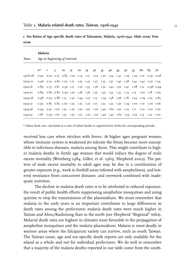| Years   | Malaria<br>Age at beginning of interval:                                        |        |  |  |  |  |  |  |                                                                                 |  |
|---------|---------------------------------------------------------------------------------|--------|--|--|--|--|--|--|---------------------------------------------------------------------------------|--|
|         | o*                                                                              | $\;$ I |  |  |  |  |  |  | 5 10 15 20 25 30 35 40 45 50 55 60 65 70                                        |  |
| 1906-08 | 0.92 0.70 0.77 0.83 1.00 1.14 1.17 1.22 1.30 1.34 1.33 1.29 1.29 1.10 0.91 0.98 |        |  |  |  |  |  |  |                                                                                 |  |
| 1909-13 | 0.96 0.73 0.82 1.00 1.15 1.25 1.41 1.37 1.35 1.57 1.40 1.38 1.43 1.42 1.02 1.04 |        |  |  |  |  |  |  |                                                                                 |  |
| 1914-16 | 0.89 0.75 0.81 0.92 1.13 1.20 1.33 1.36 1.32 1.42 1.50 1.41 1.08 1.12 0.96 0.94 |        |  |  |  |  |  |  |                                                                                 |  |
| 1919-21 |                                                                                 |        |  |  |  |  |  |  | 0.89 0.80 0.82 0.90 1.30 1.38 1.36 1.57 1.47 1.33 1.33 1.14 1.13 1.00 1.18 1.09 |  |
| 1924-26 |                                                                                 |        |  |  |  |  |  |  | 0.98 0.79 0.86 1.13 1.50 1.44 1.27 1.15 1.29 1.58 1.36 1.18 1.24 1.09 1.03 0.83 |  |
| 1929-31 |                                                                                 |        |  |  |  |  |  |  | 0.95 0.85 0.83 1.00 1.25 1.25 1.20 1.17 1.33 1.33 1.50 1.29 1.00 1.10 1.00 1.06 |  |
| 1934-36 | 0.94 0.91 1.00 1.33 1.25 1.50 1.50 1.20 1.40 1.60 1.50 1.14 1.11 1.22 1.00 1.00 |        |  |  |  |  |  |  |                                                                                 |  |
| 1939-41 | 1.08 0.90 1.00 1.33 1.50 1.75 1.20 1.20 1.40 1.40 1.60 1.29 1.29 1.33 1.30 1.00 |        |  |  |  |  |  |  |                                                                                 |  |

 $c.$  Sex Ratios of Age specific death rates of Taiwanese, Malaria, 1906-1941. Male ASDR/ Fem **asdr.**

\* Infant death rate, calculated as a ratio of infant deaths to registered live births for corresponding periods.

received less care when stricken with fevers. At higher ages pregnant women whose immune system is weakened (to tolerate the fetus) become more susceptible to infectious diseases, malaria among them. This might contribute to higher malaria deaths in fertile age women that would reduce the degree of male excess mortality (Weinberg 1984, Gilles, et al. 1969, Shepherd 2002). The pattern of male excess mortality in adult ages may be due to a combination of greater exposure (e.g., work in foothill areas infested with anophelines), and lowered resistance from concurrent diseases, and overwork combined with inadequate nutrition.

The decline in malaria death rates is to be attributed to reduced exposure, the result of public health efforts suppressing anopheline mosquitoes and using quinine to stop the transmission of the plasmodium. We must remember that malaria in the early years is an important contributor to large differences in death rates among the prefectures; malaria death rates were much higher in Tainan and Ahou/Kaohsiung than in the north (see Shepherd "Regional" infra). Malarial death rates are highest in climates most favorable to the propagation of anopheline mosquitoes and the malaria plasmodium. Malaria is most deadly in warmer areas where the falciparum variety can survive, such as south Taiwan. The Taiwan cause, age and sex specific death reports are only available for the island as a whole and not for individual prefectures. We do well to remember that a majority of the malaria deaths reported in our table come from the south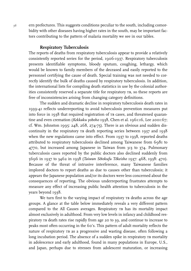*56* ern prefectures. This suggests conditions peculiar to the south, including comorbidity with other diseases having higher rates in the south, may be important factors contributing to the pattern of malaria mortality we see in our tables.

#### **Respiratory Tuberculosis**

The reports of deaths from respiratory tuberculosis appear to provide a relatively consistently reported series for the period, 1906-1937. Respiratory tuberculosis presents identifiable symptoms, bloody sputum, coughing, lethargy, which would be known to family members of the deceased and easily reported to the personnel certifying the cause of death. Special training was not needed to correctly identify the bulk of deaths caused by respiratory tuberculosis. In addition, the international lists for compiling death statistics in use by the colonial authorities consistently reserved a separate title for respiratory TB, so these reports are free of inconsistencies arising from changing category definitions.

The sudden and dramatic decline in respiratory tuberculosis death rates in 1939-41 reflects underreporting to avoid tuberculosis prevention measures put into force in 1938 that required registration of TB cases, and threatened quarantine and even cremation (*Kekkaku yoboho* 1938, Chen et al. 1961:16, Lee 2001:67; cf. Wm. Johnston 1995: 248, 268, 274-75). There is an obvious and sudden discontinuity in the respiratory  $TB$  death reporting series between 1937 and 1938 when the new regulations came into effect. From 1937 to 1938, reported deaths attributed to respiratory tuberculosis declined among Taiwanese from 6981 to 4770, but increased among Japanese in Taiwan from 313 to 374. Pulmonary tuberculosis cases reported by the public doctors also declined suddenly from 5696 in 1937 to 3462 in 1938 (*Taiwan S¯otokufu T¯okeisho* 1937: 468, 1938: 470). Because of the threat of intrusive interference, many Taiwanese families implored doctors to report deaths as due to causes other than tuberculosis; it appears the Japanese population and/or its doctors were less concerned about the consequences of reporting. The obvious underreporting frustrates attempts to measure any effect of increasing public health attention to tuberculosis in the years beyond 1938.

We turn first to the varying impact of respiratory TB deaths across the age groups. A glance at the table below immediately reveals a very different pattern compared to the All Causes averages. Respiratory TB has its mortality impact almost exclusively in adulthood. From very low levels in infancy and childhood respiratory TB death rates rise rapidly from age 20 to 39, and continue to increase to peaks most often occurring in the 60's. This pattern of adult mortality reflects the nature of respiratory TB as a progressive and wasting disease, often following a long incubation period. The absence of a sudden spike in respiratory TB mortality in adolescence and early adulthood, found in many populations in Europe, U.S., and Japan, perhaps due to stresses from adolescent maturation, or increasing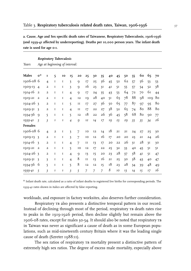**a. Cause, Age and Sex specific death rates of Taiwanese, Respiratory Tuberculosis, 1906-1936 (and 1939-41 affected by underreporting). Deaths per 10,000 person years. The infant death rate is used for age 0-1.**

|           |                         |                         |                    | Respiratory Tuberculosis                              |                |             |          |           |    |    |    |                 |                |                 |     |                |
|-----------|-------------------------|-------------------------|--------------------|-------------------------------------------------------|----------------|-------------|----------|-----------|----|----|----|-----------------|----------------|-----------------|-----|----------------|
| Years     |                         |                         |                    | Age at beginning of interval:                         |                |             |          |           |    |    |    |                 |                |                 |     |                |
| Males     | o*                      | I                       | 5                  | IO                                                    | 15             | 20          | 25       | 30        | 35 | 40 | 45 | 50              | 55             | 60              | 65  | 70             |
| 1906-08 6 |                         | $\overline{4}$          | I                  | I                                                     | 3              | 9           | I7       | 25        | 36 | 45 | 52 | 62              | 57             | 56              | 53  | 53             |
| 1909-13   | $\overline{4}$          | $\overline{a}$          | I                  | 1                                                     | 3              | $\circ$     | 16       | 23        | 3I | 4I | 5I | 55              | 57             | 54              | 52  | 38             |
| 1914-16   | $\overline{a}$          | $\overline{a}$          | I                  | $\mathbf I$                                           | $\overline{4}$ | 9           | I7       | 24        | 35 | 43 | 53 | 64              | 72             | 70              | 61  | 44             |
| 1919-21   | $\overline{a}$          | $\overline{a}$          | I                  | $\mathbf I$                                           | $\overline{4}$ | 12          | IQ       | 28        | 40 | 5I | 65 | 78              | 88             | 98              | IOQ | 80             |
| 1924-26   | $\overline{\mathbf{3}}$ | $\overline{a}$          | I                  | $\mathbf I$                                           | 5              | $\rm II$    | I7       | 27        | 36 | 50 | 65 | 77              | 8 <sub>7</sub> | 97              | 95  | 80             |
| 1929-31   | $\overline{\mathbf{3}}$ | $\overline{a}$          | I                  | I                                                     | $\overline{4}$ | $\rm II$    | I7       | 22        | 27 | 38 | 52 | 65              | 74             | 80              | 88  | 8 <sub>o</sub> |
| 1934-36   | $\circ$                 | 5                       | $\mathbf I$        | $\mathbf I$                                           | 5              | 12          | 18       | 22        | 26 | 36 | 45 | 58              | 68             | 80              | QO  | 77             |
| 1939-41   | 5                       | $\overline{\mathbf{3}}$ | 1                  | $\mathbf{1}% _{T}=\mathbf{1}_{T}\times\mathbf{1}_{T}$ | $\overline{4}$ | 9           | 12       | 14        | 17 | 19 | 23 | 29              | 35             | 35              | 34  | 26             |
| Females   |                         |                         |                    |                                                       |                |             |          |           |    |    |    |                 |                |                 |     |                |
| 1906-08 6 |                         | $\overline{4}$          | $\overline{a}$     | $\mathbf I$                                           | 3              | 7           | IO       | <b>I2</b> | I4 | 18 | 2I | $2\,\mathrm{I}$ | 24             | 27              | 25  | 30             |
| 1909-13   | $\overline{3}$          | $\overline{a}$          | $\mathbf I$        | $\mathbf I$                                           | 3              | 7           | IO       | <b>I2</b> | 16 | I7 | 20 | 20              | 23             | $2\,\mathrm{I}$ | 24  | 26             |
| 1914-16   | 3                       | $\overline{a}$          | $\mathbf I$        | $\mathbf I$                                           | $\overline{4}$ | 7           | $\rm II$ | 13        | I7 | 20 | 22 | 26              | 3I             | 28              | 3I  | 30             |
| 1919-21   | $\overline{a}$          | $\overline{a}$          | $\mathbf I$        | I                                                     | 5              | IO          | 12       | I7        | 22 | 25 | 32 | 33              | 40             | 45              | 51  | 51             |
| 1924-26   | $\overline{3}$          | $\overline{a}$          | $\mathbf I$        | $\mathbf I$                                           | $\overline{4}$ | $\mathbf Q$ | 13       | 15        | 20 | 23 | 28 | 37              | 38             | 4 <sub>I</sub>  | 51  | 47             |
| 1929-31   | $\overline{\mathbf{3}}$ | 3                       | $\mathbf I$        | I                                                     | $\overline{4}$ | 8           | $\rm II$ | 13        | 16 | 2I | 25 | 30              | 38             | 43              | 40  | 47             |
| 1934-36   | 6                       | 5                       | I                  | $\mathbf I$                                           | 5              | 8           | I2       | <b>I2</b> | 15 | 18 | 23 | 28              | 34             | 39              | 48  | 49             |
| 1939-41   | 5                       | $\overline{\mathbf{3}}$ | $\mathbf{1}% _{T}$ | $\mathbf{1}% _{T}=\mathbf{1}_{T}\times\mathbf{1}_{T}$ | $\overline{3}$ | 5           | 7        | 7         | 7  | 8  | 10 | 13              | 14             | 15              | 17  | 16             |

\* Infant death rate, calculated as a ratio of infant deaths to registered live births for corresponding periods. The 1939-41 rates shown in italics are affected by false reporting.

workloads, and exposure in factory worksites, also deserves further consideration.

Respiratory TB also presents a distinctive temporal pattern in our record. Instead of declining through most of the period, respiratory TB death rates rise to peaks in the 1919-1926 period, then decline slightly but remain above the 1906-08 rates, except for males 30-54. It should also be noted that respiratory tb in Taiwan was never as significant a cause of death as in some European populations, such as mid-nineteenth century Britain where it was the leading single cause of death (Szreter 1988:11).

The sex ratios of respiratory TB mortality present a distinctive pattern of extremely high sex ratios. The degree of excess male mortality, especially above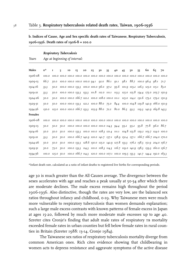**b. Indices of Cause, Age and Sex specific death rates of Taiwanese, Respiratory Tuberculosis, 1906-1936. Death rates of 1906-8 = 100.0**

|         |                               | Respiratory Tuberculosis                                                                  |                |                                                                                          |    |    |    |    |    |    |    |    |    |    |    |    |
|---------|-------------------------------|-------------------------------------------------------------------------------------------|----------------|------------------------------------------------------------------------------------------|----|----|----|----|----|----|----|----|----|----|----|----|
| Years   | Age at beginning of interval: |                                                                                           |                |                                                                                          |    |    |    |    |    |    |    |    |    |    |    |    |
| Males   | o*                            | $\mathbf{I}$                                                                              | $\overline{5}$ | 10                                                                                       | 15 | 20 | 25 | 30 | 35 | 40 | 45 | 50 | 55 | 60 | 65 | 70 |
| 1906-08 | 100.0                         | 100.0 100.0 100.0 100.0 100.0 100.0 100.0 100.0 100.0 100.0 100.0 100.0 100.0 100.0 100.0 |                |                                                                                          |    |    |    |    |    |    |    |    |    |    |    |    |
| 1909-13 | 66.7                          |                                                                                           |                | 50.0 100.0 100.0 100.0 100.0 94.1 92.0 86.1 91.1 98.1 88.7 100.0 96.4 98.1 71.7          |    |    |    |    |    |    |    |    |    |    |    |    |
| 1914-16 | 33.3                          |                                                                                           |                | 50.0 100.0 100.0 133.3 100.0 100.0 96.0 97.2 95.6 101.9 103.2 126.3 125.0 115.1 83.0     |    |    |    |    |    |    |    |    |    |    |    |    |
| 1919-21 | 33.3                          | 50.0                                                                                      |                | 100.0 100.0 133.3 133.3 111.8 112.0 111.1 113.3 125.0 125.8 154.4 175.0 205.7 150.9      |    |    |    |    |    |    |    |    |    |    |    |    |
| 1924-26 | 50.0                          | 50.0                                                                                      |                | 100.0 100.0 166.7 122.2 100.0 108.0 100.0 111.1 125.0 124.2 152.6 173.2 179.2 150.9      |    |    |    |    |    |    |    |    |    |    |    |    |
| 1929-31 | 50.0                          |                                                                                           |                | 50.0 100.0 100.0 133.3 122.2 100.0 88.0 75.0 84.4 100.0 104.8 129.8 142.9 166.0 150.9    |    |    |    |    |    |    |    |    |    |    |    |    |
| 1934-36 | 150.0                         |                                                                                           |                | 125.0 100.0 100.0 166.7 133.3 105.9 88.0 72.2 80.0 86.5 93.5 119.3 142.9 169.8 145.3     |    |    |    |    |    |    |    |    |    |    |    |    |
| Females |                               |                                                                                           |                |                                                                                          |    |    |    |    |    |    |    |    |    |    |    |    |
| 1906-08 | 100.0                         | 100.0 100.0 100.0 100.0 100.0 100.0 100.0 100.0 100.0 100.0 100.0 100.0 100.0 100.0 100.0 |                |                                                                                          |    |    |    |    |    |    |    |    |    |    |    |    |
| 1909-13 | 50.0                          |                                                                                           |                | 50.0 50.0 100.0 100.0 100.0 100.0 100.0 114.3 94.4 95.2 95.2 95.8 77.8 96.0 86.7         |    |    |    |    |    |    |    |    |    |    |    |    |
| 1914-16 | 50.0                          | 50.0                                                                                      | 50.0           | 100.0 133.3 100.0 110.0 108.3 121.4 111.1 104.8 123.8 129.2 103.7 124.0 100.0            |    |    |    |    |    |    |    |    |    |    |    |    |
| 1919-21 | 33.3                          | 50.0                                                                                      |                | 50.0 100.0 166.7 142.9 120.0 141.7 157.1 138.9 152.4 157.1 166.7 166.7 204.0 170.0       |    |    |    |    |    |    |    |    |    |    |    |    |
| 1924-26 | 50.0                          | 50.0                                                                                      |                | 50.0 100.0 133.3 128.6 130.0 125.0 142.9 127.8 133.3 176.2 158.3 151.9 204.0 156.7       |    |    |    |    |    |    |    |    |    |    |    |    |
| 1929-31 | 50.0                          |                                                                                           |                | 75.0 50.0 100.0 133.3 114.3 110.0 108.3 114.3 116.7 119.0 142.9 158.3 159.3 160.0 156.7  |    |    |    |    |    |    |    |    |    |    |    |    |
| 1934-36 | 100.0                         |                                                                                           |                | 125.0 50.0 100.0 166.7 114.3 120.0 100.0 107.1 100.0 109.5 133.3 141.7 144.4 192.0 163.3 |    |    |    |    |    |    |    |    |    |    |    |    |

\*Infant death rate, calculated as a ratio of infant deaths to registered live births for corresponding periods.

age 30 is much greater than the All Causes average. The divergence between the sexes accelerates with age and reaches a peak usually at 50-54 after which there are moderate declines. The male excess remains high throughout the period 1906-1936. Also distinctive, though the rates are very low, are the balanced sex ratios throughout infancy and childhood, 0-19. Why Taiwanese men were much more vulnerable to respiratory tuberculosis than women demands explanation; such a large male excess contrasts with known patterns of female excess in Japan at ages 15-20, followed by much more moderate male excesses up to age 40. Szreter cites Cronje's finding that adult male rates of respiratory TB mortality exceeded female rates in urban counties but fell below female rates in rural counties in Britain (Szreter 1988: 13-14, Cronje 1984).

The Taiwanese sex ratios of respiratory tuberculosis mortality diverge from common American ones. Rich cites evidence showing that childbearing in women acts to depress resistance and aggravate symptoms of the active disease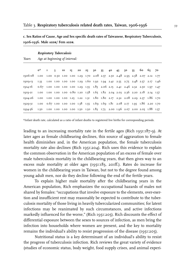| Years                                                                                   |                                                                                 | Respiratory Tuberculosis<br>Age at beginning of interval:                       |  |  |                                          |  |  |  |  |  |
|-----------------------------------------------------------------------------------------|---------------------------------------------------------------------------------|---------------------------------------------------------------------------------|--|--|------------------------------------------|--|--|--|--|--|
|                                                                                         | o*                                                                              | $\mathbf{I}$                                                                    |  |  | 5 10 15 20 25 30 35 40 45 50 55 60 65 70 |  |  |  |  |  |
| 1906-08 1.00 1.00 0.50 1.00 1.00 1.29 1.70 2.08 2.57 2.50 2.48 2.95 2.38 2.07 2.12 1.77 |                                                                                 |                                                                                 |  |  |                                          |  |  |  |  |  |
| 1909-13                                                                                 | I.33                                                                            | 1.00 1.00 1.00 1.00 1.29 1.60 1.92 1.94 2.41 2.55 2.75 2.48 2.57 2.17 1.46      |  |  |                                          |  |  |  |  |  |
| 1914-16                                                                                 | 0.67 1.00 1.00 1.00 1.00 1.29 1.55 1.85 2.06 2.15 2.41 2.46 2.32 2.50 1.97 1.47 |                                                                                 |  |  |                                          |  |  |  |  |  |
| 1919-21                                                                                 |                                                                                 | 1.00 1.00 1.00 1.00 0.80 1.20 1.58 1.65 1.82 2.04 2.03 2.36 2.20 2.18 2.14 1.57 |  |  |                                          |  |  |  |  |  |
| 1924-26                                                                                 |                                                                                 | 1.00 1.00 1.00 1.00 1.25 1.22 1.31 1.80 1.80 2.17 2.32 2.08 2.29 2.37 1.86 1.70 |  |  |                                          |  |  |  |  |  |
| 1929-31                                                                                 |                                                                                 | 1.00 0.67 1.00 1.00 1.00 1.38 1.55 1.69 1.69 1.81 2.08 2.17 1.95 1.86 2.20 1.70 |  |  |                                          |  |  |  |  |  |
| 1934-36                                                                                 |                                                                                 | 1.50 1.00 1.00 1.00 1.00 1.50 1.50 1.83 1.73 2.00 1.96 2.07 2.00 2.05 1.88 1.57 |  |  |                                          |  |  |  |  |  |

**c. Sex Ratios of Cause, Age and Sex specific death rates of Taiwanese, Respiratory Tuberculosis, 1906-1936. Male asdr/ Fem asdr.**

\*Infant death rate, calculated as a ratio of infant deaths to registered live births for corresponding periods.

leading to an increasing mortality rate in the fertile ages (Rich 1951:187-9). At later ages as female childbearing declines, this source of aggravation to female health diminishes and, in the American population, the female tuberculosis mortality rate also declines (Rich 1951:204). Rich uses this evidence to explain the common observation in the American population of an excess of female over male tuberculosis mortality in the childbearing years, that then gives way to an excess male mortality at older ages (1951:183, 201ff.). Rates do increase for women in the childbearing years in Taiwan, but not to the degree found among young adult men, nor do they decline following the end of the fertile years.

To explain higher male mortality after the childbearing years in the American population, Rich emphasizes the occupational hazards of males not shared by females: "occupations that involve exposure to the elements, over-exertion and insufficient rest may reasonably be expected to contribute to the tuberculosis mortality of those living in heavily tubercularized communities; for latent infections may be reanimated by such circumstances, and active infections markedly influenced for the worse," (Rich 1951:205). Rich discounts the effect of differential exposure between the sexes to sources of infection, as men bring the infection into households where women are present, and the key to mortality remains the individual's ability to resist progression of the disease (1951:205).

Nutritional status is a key determinant of an individual's ability to resist the progress of tuberculosis infection. Rich reviews the great variety of evidence (studies of economic status, body weight, food supply crises, and animal experi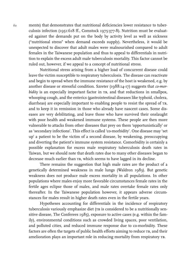*60* ments) that demonstrates that nutritional deficiencies lower resistance to tuberculosis infection (1951:618 ff., Comstock 1975:377-8). Nutrition must be evaluated against the demands put on the body by activity level as well as sickness ("nutritional stress" when demand exceeds supply). Nevertheless, it would be unexpected to discover that adult males were malnourished compared to adult females in the Taiwanese population and thus to appeal to differentials in nutrition to explain the excess adult male tuberculosis mortality. This factor cannot be ruled out, however, if we appeal to a concept of nutritional stress.

Nutritional stress arising from a higher load of concurrent disease could leave the victim susceptible to respiratory tuberculosis. The disease can reactivate and begin to spread when the immune resistance of the host is weakened, e.g. by another disease or stressful condition. Szreter (1988:14-17) suggests that *co-mor*bidity is an especially important factor in TB, and that reductions in smallpox, whooping cough, and the enterics (gastrointestinal diseases like typhoid, cholera, diarrheas) are especially important to enabling people to resist the spread of TB, and to keep it in remission in those who already have nascent cases. Some diseases are very debilitating, and leave those who have survived their onslaught with poor health and weakened immune systems. These people are then more vulnerable to attacks from other diseases that prey on them 'opportunistically' or as 'secondary infections'. This effect is called 'co-morbidity'. One disease may 'set up' a patient to be the victim of a second disease, by weakening, preoccupying and diverting the patient's immune system resistance. Comorbidity is certainly a possible explanation for excess male respiratory tuberculosis death rates in Taiwan, but we should note that death rates due to many other diseases began to decrease much earlier than TB, which seems to have lagged in its decline.

There remains the suggestion that high male rates are the product of a genetically determined weakness in male lungs (Waldron 1983). But genetic weakness does not produce male excess mortality in all populations. In other populations where males enjoy more favorable circumstances female rates in the fertile ages eclipse those of males, and male rates overtake female rates only thereafter. In the Taiwanese population however, it appears adverse circumstances for males result in higher death rates even in the fertile years.

Hypotheses accounting for differentials in the incidence of respiratory tuberculosis variously emphasize diet (TB is considered to be a nutritionally sensitive disease, The Conferees 1985), exposure to active cases (e.g. within the family), environmental conditions such as crowded living spaces, poor ventilation, and polluted cities, and reduced immune response due to co-morbidity. These factors are often the targets of public health efforts aiming to reduce TB, and their amelioration plays an important role in reducing mortality from respiratory TB.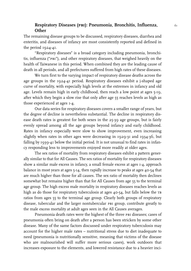## **Respiratory Diseases (pbi): Pneumonia, Bronchitis, Influenza,** *<sup>61</sup>* **Other**

The remaining disease groups to be discussed, respiratory diseases, diarrhea and enteritis, and diseases of infancy are most consistently reported and defined in the period 1924-41.

"Respiratory diseases" is a broad category including pneumonia, bronchitis, influenza ("pbi"), and other respiratory diseases, that weighed heavily on the health of Taiwanese in this period. When combined they are the leading cause of death in all periods, and all prefectures suffered from high rates of these diseases.

We turn first to the varying impact of respiratory disease deaths across the age groups in the 1924-41 period. Respiratory diseases exhibit a j-shaped age curve of mortality, with especially high levels at the extremes in infancy and old age. Levels remain high in early childhood, then reach a low point at ages 5-19, after which they begin a slow rise that only after age 55 reaches levels as high as those experienced at ages 1-4.

Our data series for respiratory diseases covers a smaller range of years, but the degree of decline is nevertheless substantial. The decline in respiratory disease death rates is greatest for both sexes in the 25-39 age groups, but is fairly evenly spread among all the age groups beyond infancy and early childhood. Rates in infancy especially were slow to show improvement, even increasing slightly when rates in other ages were decreasing in 1929-31 and 1934-36, but falling by 1939-41 below the initial period. It is not unusual to find rates in infancy responding less to improvements enjoyed more readily at older ages.

The sex ratios of mortality from respiratory diseases exhibit a pattern generally similar to that for All Causes. The sex ratios of mortality for respiratory diseases show a similar male excess in infancy, a small female excess at ages 1-4, approach balance in most years at ages 5-14, then rapidly increase to peaks at ages 40-54 that are much higher than those for all causes. The sex ratio of mortality then declines somewhat but remains higher than that for All Causes from age 55 to the terminal age group. The high excess male mortality in respiratory diseases reaches levels as high as do those for respiratory tuberculosis at ages  $40-54$ , but falls below the TB ratios from ages 55 to the terminal age group. Clearly both groups of respiratory disease, tubercular and the larger nontubercular PBI group, contribute greatly to the male excess mortality at adult ages seen in the All Causes averages.

Pneumonia death rates were the highest of the three PBI diseases; cases of pneumonia often bring on death after a person has been stricken by some other disease. Many of the same factors discussed under respiratory tuberculosis may account for the higher male rates – nutritional stress due to diet inadequate to need (pneumonia is nutritionally sensitive, meaning that victims of the disease who are malnourished will suffer more serious cases), work outdoors that increases exposure to the elements, and lowered resistance due to a heavier inci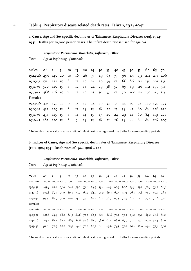**a. Cause, Age and Sex specific death rates of Taiwanese, Respiratory Diseases (pbi), 1924- 1941. Deaths per 10,000 person years. The infant death rate is used for age 0-1.**

|                    |     | Respiratory: Pneumonia, Bronchitis, Influenza, Other |       |                |                      |            |                 |          |                 |             |    |                        |               |          |                     |
|--------------------|-----|------------------------------------------------------|-------|----------------|----------------------|------------|-----------------|----------|-----------------|-------------|----|------------------------|---------------|----------|---------------------|
| Years              |     | Age at beginning of interval:                        |       |                |                      |            |                 |          |                 |             |    |                        |               |          |                     |
| Males              | ం*  | $\mathbf{I}$                                         | $5 -$ | 10             |                      | $15 \t 20$ |                 | 25 30 35 |                 |             |    | 40 45 50               | 55            | 60 65 70 |                     |
| 1924-26 496 140 20 |     |                                                      |       | IO             |                      | 16 26      | 37 <sup>7</sup> | 49       | 63              | 77          |    | 96 117 153 214 278 406 |               |          |                     |
| 1929-31            | 513 | 122 15                                               |       | 8              | 12                   | 19         | 24              | 29       | 39              | 52          |    | 66 86                  | II2 I55       | 205 335  |                     |
| 1934-36 520        |     | I20 I5                                               |       | 8              | <b>I2</b>            | 18         | 24              |          | 29 38           | 52          |    | 69 89 116 152 197 318  |               |          |                     |
| 1939-41 468 116 15 |     |                                                      |       | $7^{\circ}$    | 12                   | 19         |                 | 23 30    | 37 <sup>7</sup> | 52          | 70 | 100 124 170 213 315    |               |          |                     |
| <b>Females</b>     |     |                                                      |       |                |                      |            |                 |          |                 |             |    |                        |               |          |                     |
| 1924-26 425 152 22 |     |                                                      |       | $\overline{Q}$ | 13                   | 18         |                 |          |                 | 24 29 32 35 |    | 44 56 82 120 154 273   |               |          |                     |
| 1929-31 432        |     | 129 15                                               |       | 8              | $\scriptstyle\rm II$ | 13         | 15              | 18       | 22              | $25 -$      | 33 | 42                     | $60 \t 83$    | 126 221  |                     |
| 1934-36 438        |     | $125$ $15$                                           |       | 8              | $\scriptstyle\rm II$ | I4         | 15              | 17       | 20              | 24          | 29 | 4 <sup>I</sup>         | 60 84         |          | IIQ 22I             |
| $1939 - 41$ $387$  |     | 120 15                                               |       | 8              | $\circ$              | 13         | 15              | 18       | 2I              | 26          | 33 | 44                     | $64 \quad 83$ |          | II <sub>0</sub> 207 |

\* Infant death rate, calculated as a ratio of infant deaths to registered live births for corresponding periods.

**b. Indices of Cause, Age and Sex specific death rates of Taiwanese, Respiratory Diseases (pbi), 1924-1941. Death rates of 1924-1926 = 100.** 

|         |      | Respiratory: Pneumonia, Bronchitis, Influenza, Other                                            |                                                                            |  |  |                           |  |           |          |  |
|---------|------|-------------------------------------------------------------------------------------------------|----------------------------------------------------------------------------|--|--|---------------------------|--|-----------|----------|--|
| Years   |      | Age at beginning of interval:                                                                   |                                                                            |  |  |                           |  |           |          |  |
| Males   | o*   | $\mathbf{I}$                                                                                    |                                                                            |  |  | 5 10 15 20 25 30 35 40 45 |  | $50 - 55$ | 60 65 70 |  |
| 1924-26 |      | 100.0 100.0 100.0 100.0 100.0 100.0 100.0 100.0 100.0 100.0 100.0 100.0 100.0 100.0 100.0 100.0 |                                                                            |  |  |                           |  |           |          |  |
| 1929-31 |      | 103.4 87.1 75.0 80.0 75.0 73.1 64.9 59.2 61.9 67.5 68.8 73.5 73.2 72.4 73.7 82.5                |                                                                            |  |  |                           |  |           |          |  |
| 1934-36 |      | 104.8 85.7 75.0 80.0 75.0 69.2 64.9 59.2 60.3 67.5 71.9 76.1 75.8 71.0 70.9 78.3                |                                                                            |  |  |                           |  |           |          |  |
| 1939-41 |      | 94.4 82.9 75.0 70.0 75.0 73.1 62.2 61.2 58.7 67.5 72.9 85.5 81.0 79.4 76.6 77.6                 |                                                                            |  |  |                           |  |           |          |  |
| Females |      |                                                                                                 |                                                                            |  |  |                           |  |           |          |  |
| 1924-26 |      | 100.0 100.0 100.0 100.0 100.0 100.0 100.0 100.0 100.0 100.0 100.0 100.0 100.0 100.0 100.0 100.0 |                                                                            |  |  |                           |  |           |          |  |
| 1929-31 |      | 101.6 84.9 68.2 88.9 84.6 72.2 62.5 62.1 68.8 71.4 75.0 75.0 73.2 69.2 81.8 81.0                |                                                                            |  |  |                           |  |           |          |  |
| 1934-36 |      | 103.1 82.2 68.2 88.9 84.6 77.8 62.5 58.6 62.5 68.6 65.9 73.2 73.2 70.0 77.3 81.0                |                                                                            |  |  |                           |  |           |          |  |
| 1939-41 | Q1.1 |                                                                                                 | 78.9 68.2 88.9 69.2 72.2 62.5 62.1 65.6 74.3 75.0 78.6 78.0 69.2 75.3 75.8 |  |  |                           |  |           |          |  |

\* Infant death rate, calculated as a ratio of infant deaths to registered live births for corresponding periods.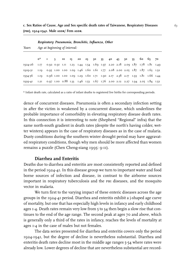**c. Sex Ratios of Cause, Age and Sex specific death rates of Taiwanese, Respiratory Diseases (pbi), 1924-1941. Male asdr/ Fem asdr.**

|                                                                                         |                                                                                 | Respiratory: Pneumonia, Bronchitis, Influenza, Other |  |  |  |  |  |  |  |
|-----------------------------------------------------------------------------------------|---------------------------------------------------------------------------------|------------------------------------------------------|--|--|--|--|--|--|--|
| Years                                                                                   |                                                                                 | Age at beginning of interval:                        |  |  |  |  |  |  |  |
|                                                                                         |                                                                                 |                                                      |  |  |  |  |  |  |  |
|                                                                                         |                                                                                 | $0^*$ I 5 IO I5 20 25 30 35 40 45 50 55 60 65 70     |  |  |  |  |  |  |  |
| 1924-26 1.17 0.92 0.91 1.11 1.23 1.44 1.54 1.69 1.97 2.20 2.18 2.09 1.87 1.78 1.81 1.49 |                                                                                 |                                                      |  |  |  |  |  |  |  |
| 1929-31                                                                                 | 1.19 0.95 1.00 1.00 1.09 1.46 1.60 1.61 1.77 2.08 2.00 2.05 1.87 1.87 1.63 1.52 |                                                      |  |  |  |  |  |  |  |
| 1934-36 1.19 0.96 1.00 1.00 1.09 1.29 1.60 1.71 1.90 2.17 2.38 2.17 1.93 1.81 1.66 1.44 |                                                                                 |                                                      |  |  |  |  |  |  |  |
| 1939-41                                                                                 | 1.21 0.97 1.00 0.88 1.33 1.46 1.53 1.67 1.76 2.00 2.12 2.27 1.94 2.05 1.84 1.52 |                                                      |  |  |  |  |  |  |  |

\* Infant death rate, calculated as a ratio of infant deaths to registered live births for corresponding periods.

dence of concurrent diseases. Pneumonia is often a secondary infection setting in after the victim is weakened by a concurrent disease, which underlines the probable importance of comorbidity in elevating respiratory disease death rates. In this connection it is interesting to note (Shepherd "Regional" infra) that the same north-south gradient in death rates (despite the north's having colder, wetter winters) appears in the case of respiratory diseases as in the case of malaria. Dusty conditions during the southern winter drought period may have aggravated respiratory conditions, though why men should be more affected than women remains a puzzle (Chen Cheng-siang 1995: 9-11).

#### **Diarrhea and Enteritis**

Deaths due to diarrhea and enteritis are most consistently reported and defined in the period 1924-41. In this disease group we turn to important water and food borne sources of infection and disease, in contrast to the airborne sources important in respiratory tuberculosis and the pbi diseases, and the mosquito vector in malaria.

We turn first to the varying impact of these enteric diseases across the age groups in the 1924-41 period. Diarrhea and enteritis exhibit a j-shaped age curve of mortality, but one that has especially high levels in infancy and early childhood ages 1-4. Death rates remain very low from 5 to 34 then begin a slow rise that continues to the end of the age range. The second peak at ages 70 and above, which is generally only a third of the rates in infancy, reaches the levels of mortality at ages 1-4 in the case of males but not females.

The data series presented for diarrhea and enteritis covers only the period 1924-1941, but the degree of decline is nevertheless substantial. Diarrhea and enteritis death rates decline most in the middle age ranges 5-54 where rates were already low. Lower degrees of decline that are nevertheless substantial are record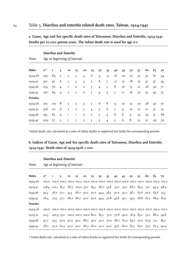**a. Cause, Age and Sex specific death rates of Taiwanese, Diarrhea and Enteritis, 1924-1941. Deaths per 10,000 person years. The infant death rate is used for age 0-1.**

|         |     |             |                | Diarrhea and Enteritis                                                          |              |                |                                                                                 |                |                |                |          |    |               |    |    |    |
|---------|-----|-------------|----------------|---------------------------------------------------------------------------------|--------------|----------------|---------------------------------------------------------------------------------|----------------|----------------|----------------|----------|----|---------------|----|----|----|
| Years   |     |             |                | Age at beginning of interval:                                                   |              |                |                                                                                 |                |                |                |          |    |               |    |    |    |
| Males   | o*  | $\mathbf I$ | 5              | IO                                                                              | 15           | 20             | 25                                                                              | 30             | 35             | 40             | 45       | 50 | 55            | 60 | 65 | 70 |
| 1924-26 | 297 | 89          | 7              | 3                                                                               | 3            | $\overline{4}$ | 6                                                                               | 9              | 13             | 16             | $20$     | 27 | 32            | 52 | 61 | 94 |
| 1929-31 | 322 | QI          | 6              | $\mathbf 2$                                                                     | 3            | 3              | 5                                                                               | 6              | 7              | 12             | 15       | 18 | 27            | 37 | 57 | 93 |
| 1934-36 | 274 | 70          | $\overline{4}$ | $\mathbf I$                                                                     | $\mathbf{2}$ | $\mathbf{2}$   | 3                                                                               | $\overline{4}$ | 5              | 8              | IO       | 13 | $2\mathrm{I}$ | 26 | 40 | 71 |
| 1939-41 | 227 | 64          | $\overline{4}$ | $\mathbf{2}% =\mathbf{1}_{B}\left( \mathbf{1}_{B}\right) ^{\ast}\mathbf{1}_{B}$ | $\mathbf{2}$ | $\mathbf{2}$   | 3                                                                               | $\overline{4}$ | $\overline{4}$ | $\overline{7}$ | $\rm II$ | 16 | ${\bf 22}$    | 32 | 42 | 77 |
| Females |     |             |                |                                                                                 |              |                |                                                                                 |                |                |                |          |    |               |    |    |    |
| 1924-26 | 275 | IIO         | 8              | $\mathbf{2}$                                                                    | $\mathbf{2}$ | 3              | $\overline{5}$                                                                  | 6              | 8              | $\circ$        | IO       | 13 | $20\,$        | 28 | 43 | 77 |
| 1929-31 | 306 | $\;$ III    | 6              | $\mathbf{2}$                                                                    | $\mathbf{2}$ | 3              | $\overline{4}$                                                                  | 5              | 6              | $\overline{7}$ | 9        | IO | I7            | 2I | 37 | 73 |
| 1934-36 | 255 | 83          | $\overline{4}$ | $\mathbf I$                                                                     | $\mathbf I$  | $\mathbf{2}$   | $\mathbf{2}% =\mathbf{1}_{B}\left( \mathbf{1}_{B}\right) ^{\ast}\mathbf{1}_{B}$ | 3              | $\overline{4}$ | 6              | 6        | 9  | 14            | 19 | 3I | 66 |
| 1939-41 | 209 | 77          | 5              | I                                                                               | $\mathbf I$  | $\mathbf{2}$   | 3                                                                               | 3              | $\overline{4}$ | 5              | 6        | 8  | 13            | 2I | 29 | 70 |

\*Infant death rate, calculated as a ratio of infant deaths to registered live births for corresponding periods.

**b. Indices of Cause, Age and Sex specific death rates of Taiwanese, Diarrhea and Enteritis, 1924-1941. Death rates of 1924-1926 = 100.**

|         | Diarrhea and Enteritis                                                                          |             |             |    |    |    |       |  |                                                                                |    |    |    |     |          |  |  |
|---------|-------------------------------------------------------------------------------------------------|-------------|-------------|----|----|----|-------|--|--------------------------------------------------------------------------------|----|----|----|-----|----------|--|--|
| Years   | Age at beginning of interval:                                                                   |             |             |    |    |    |       |  |                                                                                |    |    |    |     |          |  |  |
| Males   | o*                                                                                              | $\mathbf I$ | $5^{\circ}$ | IO | 15 | 20 | 25 30 |  | $35 -$                                                                         | 40 | 45 | 50 | 55. | 60 65 70 |  |  |
| 1924-26 | 100.0 100.0 100.0 100.0 100.0 100.0 100.0 100.0 100.0 100.0 100.0 100.0 100.0 100.0 100.0 100.0 |             |             |    |    |    |       |  |                                                                                |    |    |    |     |          |  |  |
| 1929-31 | 108.4 102.2 85.7 66.7 100.0 75.0 83.3 66.7 53.8 75.0 75.0 66.7 84.4 71.2 93.4 98.9              |             |             |    |    |    |       |  |                                                                                |    |    |    |     |          |  |  |
| 1934-36 | 92.3                                                                                            |             |             |    |    |    |       |  | 78.7 57.1 33.3 66.7 50.0 50.0 44.4 38.5 50.0 50.0 48.1 65.6 50.0 65.6 75.5     |    |    |    |     |          |  |  |
| 1939-41 | 76.4 71.9 57.1 66.7 66.7 50.0 50.0 44.4 30.8 43.8 55.0 59.3 68.8 61.5 68.9 81.9                 |             |             |    |    |    |       |  |                                                                                |    |    |    |     |          |  |  |
| Females |                                                                                                 |             |             |    |    |    |       |  |                                                                                |    |    |    |     |          |  |  |
| 1924-26 | 100.0 100.0 100.0 100.0 100.0 100.0 100.0 100.0 100.0 100.0 100.0 100.0 100.0 100.0 100.0 100.0 |             |             |    |    |    |       |  |                                                                                |    |    |    |     |          |  |  |
| 1929-31 | 111.3                                                                                           |             |             |    |    |    |       |  | 100.9 75.0 100.0 100.0 100.0 80.0 83.3 75.0 77.8 90.0 76.9 85.0 75.0 86.0 94.8 |    |    |    |     |          |  |  |
| 1934-36 | 92.7                                                                                            |             |             |    |    |    |       |  | 75.5 50.0 50.0 50.0 66.7 40.0 50.0 50.0 66.7 60.0 69.2 70.0 67.9 72.1 85.7     |    |    |    |     |          |  |  |
| 1939-41 | 76.0                                                                                            |             |             |    |    |    |       |  | 70.0 62.5 50.0 50.0 66.7 60.0 50.0 50.0 55.6 60.0 61.5 65.0 75.0 67.4 90.9     |    |    |    |     |          |  |  |

\* Infant death rate, calculated as a ratio of infant deaths to registered live births for corresponding periods.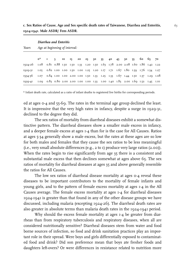| Years                                                                                   | Diarrhea and Enteritis<br>Age at beginning of interval:                         |                                                  |  |  |  |  |  |  |  |  |  |  |  |  |  |  |
|-----------------------------------------------------------------------------------------|---------------------------------------------------------------------------------|--------------------------------------------------|--|--|--|--|--|--|--|--|--|--|--|--|--|--|
|                                                                                         |                                                                                 | $0^*$ I 5 IO I5 20 25 30 35 40 45 50 55 60 65 70 |  |  |  |  |  |  |  |  |  |  |  |  |  |  |
| 1924-26 1.08 0.81 0.88 1.50 1.50 1.33 1.20 1.50 1.63 1.78 2.00 2.08 1.60 1.86 1.42 1.22 |                                                                                 |                                                  |  |  |  |  |  |  |  |  |  |  |  |  |  |  |
| 1929-31 1.05 0.82 1.00 1.00 1.50 1.00 1.25 1.20 1.17 1.71 1.67 1.80 1.50 1.76 1.54 1.27 |                                                                                 |                                                  |  |  |  |  |  |  |  |  |  |  |  |  |  |  |
| 1934-36 1.07 0.84 1.00 1.00 2.00 1.00 1.50 1.33 1.25 1.33 1.67 1.44 1.50 1.37 1.29 1.08 |                                                                                 |                                                  |  |  |  |  |  |  |  |  |  |  |  |  |  |  |
| 1939-41                                                                                 | 1.09 0.83 0.80 2.00 2.00 1.00 1.00 1.33 1.00 1.40 1.83 2.00 1.69 1.52 1.45 1.10 |                                                  |  |  |  |  |  |  |  |  |  |  |  |  |  |  |

\* Infant death rate, calculated as a ratio of infant deaths to registered live births for corresponding periods.

ed at ages 0-4 and 55-69. The rates in the terminal age group declined the least. It is impressive that the very high rates in infancy, despite a surge in 1929-31, declined to the degree they did.

The sex ratios of mortality from diarrheal diseases exhibit a somewhat distinctive pattern. The diarrheal diseases show a smaller male excess in infancy, and a deeper female excess at ages 1-4 than for is the case for All Causes. Ratios at ages 5-34 generally show a male excess, but the rates at these ages are so low for both males and females that they cause the sex ratios to be less meaningful (i.e., very small absolute differences (e.g., 2 to 1) produce very large ratios (2.00)). When the rates begin to rise significantly from age 35 there is a consistent and substantial male excess that then declines somewhat at ages above 65. The sex ratios of mortality for diarrheal diseases at ages 35 and above generally resemble the ratios for All Causes.

The low sex ratios of diarrheal disease mortality at ages 0-4 reveal these diseases to be important contributors to the mortality of female infants and young girls, and to the pattern of female excess mortality at ages 1-4 in the All Causes average. The female excess mortality at ages 1-4 for diarrheal diseases 1924-1941 is greater than that found in any of the other disease groups we have discussed, including malaria (excepting 1924-26). The diarrheal death rates are also greater in absolute terms than malaria death rates in the 1924-1941 period.

Why should the excess female mortality at ages  $I - 4$  be greater from diarrheas than from respiratory tuberculosis and respiratory diseases, when all are considered nutritionally sensitive? Diarrheal diseases stem from water and food borne sources of infection, so food and drink sanitation practices play an important role in their spread. Were boys and girls differentially exposed to contaminated food and drink? Did son preference mean that boys ate fresher foods and daughters left-overs? Or were differences in resistance related to nutrition more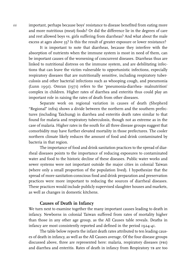*66* important, perhaps because boys' resistance to disease benefited from eating more and more nutritious (meat) foods? Or did the difference lie in the degrees of care and rest allowed boys vs. girls suffering from diarrheas? And what about the male excess at ages above 35? Is this the result of greater exposure or lower resistance?

> It is important to note that diarrheas, because they interfere with the absorption of nutrients when the immune system is most in need of them, can be important causes of the worsening of concurrent diseases. Diarrheas thus are linked to nutritional distress on the immune system, and are debilitating infections that can leave the victim vulnerable to opportunistic infections, especially respiratory diseases that are nutritionally sensitive, including respiratory tuberculosis and other bacterial infections such as whooping cough, and pneumonia (Lunn 1991). Omran (1971) refers to the 'pneumonia-diarrhea- malnutrition' complex in children. Higher rates of diarrhea and enteritis thus could play an important role in raising the rates of death from other diseases.

> Separate work on regional variation in causes of death (Shepherd "Regional" infra) shows a divide between the northern and the southern prefectures (including Taichung) in diarrhea and enteritis death rates similar to that found for malaria and respiratory tuberculosis, though not as extreme as in the case of malaria. Higher rates in the south for all three disease groups suggest that comorbidity may have further elevated mortality in those prefectures. The cooler northern climate likely reduces the amount of food and drink contaminated by bacteria in that region.

> The importance of food and drink sanitation practices to the spread of diarrheal diseases points to the importance of reducing exposures to contaminated water and food to the historic decline of these diseases. Public water works and sewer systems were not important outside the major cities in colonial Taiwan (where only a small proportion of the population lived). I hypothesize that the spread of more sanitation-conscious food and drink preparation and preservation practices were more important to reducing the sources of diarrheal diseases. These practices would include publicly supervised slaughter houses and markets, as well as changes in domestic kitchens.

## **Causes of Death in Infancy**

We turn next to examine together the many important causes leading to death in infancy. Newborns in colonial Taiwan suffered from rates of mortality higher than those in any other age group, as the All Causes table reveals. Deaths in infancy are most consistently reported and defined in the period 1924-41.

The table below reports the infant death rates attributed to ten leading causes of death in infancy, as well as the All Causes average. Of the four disease groups discussed above, three are represented here: malaria, respiratory diseases (pbi) and diarrhea and enteritis. Rates of death in infancy from Respiratory TB are too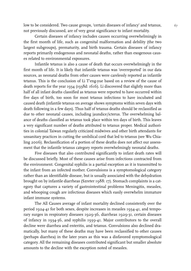low to be considered. Two cause groups, 'certain diseases of infancy' and tetanus, *67* not previously discussed, are of very great significance to infant mortality.

Certain diseases of infancy includes causes occurring overwhelmingly in the first month of life, such as congenital malformation and debility (the two largest subgroups), prematurity, and birth trauma. Certain diseases of infancy reports primarily endogenous and neonatal deaths, rather than exogenous causes related to environmental exposures.

Infantile tetanus is also a cause of death that occurs overwhelmingly in the first month of life. It is likely that infantile tetanus was 'overreported' in our data sources, as neonatal deaths from other causes were carelessly reported as infantile tetanus. This is the conclusion of Li T'eng-yue based on a review of the cause of death reports for the year 1934 (1938d: 1616). Li discovered that slightly more than half of all infant deaths classified as tetanus were reported to have occurred within five days of birth, too soon for most tetanus infections to have incubated and caused death (infantile tetanus on average shows symptoms within seven days with death following in a few days). Thus half of tetanus deaths should be reclassified as due to other neonatal causes, including jaundice/icterus. The overwhelming balance of deaths classified as tetanus took place within ten days of birth. This leaves a very significant number of deaths attributed to tetanus proper. Medical authorities in colonial Taiwan regularly criticized midwives and other birth attendants for unsanitary practices in cutting the umbilical cord that led to tetanus (see Wu Chialing 2006). Reclassification of a portion of these deaths does not affect our assessment that the infantile tetanus category reports overwhelmingly neonatal deaths.

Five diseases that also contributed significantly to infant death rates will be discussed briefly. Most of these causes arise from infections contracted from the environment. Congenital syphilis is a partial exception as it is transmitted to the infant from an infected mother. Convulsions is a symptomological category rather than an identifiable disease, but is usually associated with the dehydration brought on by infantile diarrheas (Szreter 1988: 17). Stomach complaints is a category that captures a variety of gastrointestinal problems Meningitis, measles, and whooping cough are infectious diseases which easily overwhelm immature infant immune systems.

The All Causes average of infant mortality declined consistently over the period 1924-41 for both sexes, despite increases in measles 1934-41, and temporary surges in respiratory diseases 1929-36, diarrheas 1929-31, certain diseases of infancy in 1934-36, and syphilis 1939-41. Major contributors to the overall decline were diarrhea and enteritis, and tetanus. Convulsions also declined dramatically, but many of these deaths may have been reclassified to other causes (perhaps diarrhea) in the later years as this was a disfavored symptomological category. All the remaining diseases contributed significant but smaller absolute amounts to the decline with the exception noted of measles.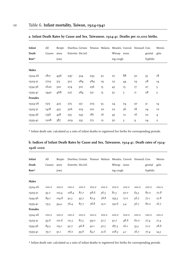| Infant  | All    | Respir- |     |                    |            |    |             |             | Diarrhea, Certain Tetanus Malaria Measles, Convul- Stomach Con- |          | Menin-                  |
|---------|--------|---------|-----|--------------------|------------|----|-------------|-------------|-----------------------------------------------------------------|----------|-------------------------|
| Death   | Causes | atory   |     | Enteritis Dis.Inf. |            |    | Whoop-sions |             |                                                                 | genital  | gitis                   |
| Rate*   |        | (PBI)   |     |                    |            |    | ing cough   |             |                                                                 | Syphilis |                         |
|         |        |         |     |                    |            |    |             |             |                                                                 |          |                         |
| Males   |        |         |     |                    |            |    |             |             |                                                                 |          |                         |
| 1924-26 | 1817   | 496     | 297 | 324                | 293        | 52 | 27          | 88          | 30                                                              | 35       | 18                      |
| 1929-31 | 1703   | 513     | 322 | 284                | 289        | 19 | ${\bf 22}$  | 44          | 19                                                              | 28       | I4                      |
| 1934-36 | 1620   | 520     | 274 | 310                | 256        | 15 | 43          | 15          | I7                                                              | 27       | 5                       |
| 1939-41 | 1440   | 468     | 227 | 284                | 231        | 13 | 52          | 3           | $\rm II$                                                        | 28       | $\overline{\mathbf{3}}$ |
| Females |        |         |     |                    |            |    |             |             |                                                                 |          |                         |
| 1924-26 | 1515   | 425     | 275 | 251                | 203        | 53 | 24          | 74          | 30                                                              | 3I       | I4                      |
| 1929-31 | 1418   | 432     | 306 | 219                | 201        | 20 | ${\bf 22}$  | 36          | 18                                                              | 24       | IO                      |
| 1934-36 | 1356   | 438     | 255 | 243                | 187        | 16 | 45          | $^{\rm I2}$ | 16                                                              | 22       | $\overline{4}$          |
| 1939-41 | 1208   | 387     | 200 | 235                | <b>172</b> | 12 | 50          | 3           | 9                                                               | 24       | $\mathbf{2}$            |

### **a. Infant Death Rates by Cause and Sex, Taiwanese, 1924-41. Deaths per 10,000 births.**

\* Infant death rate, calculated as a ratio of infant deaths to registered live births for corresponding periods.

| b. Indices of Infant Death Rates by Cause and Sex, Taiwanese, 1924-41. Death rates of 1924- |  |  |
|---------------------------------------------------------------------------------------------|--|--|
| 1926 =100                                                                                   |  |  |

| Infant  | All    | Respir- |                    |       |       |          |             |       | Diarrhea, Certain Tetanus Malaria Measles, Convul- Stomach Con- |          | Menin- |
|---------|--------|---------|--------------------|-------|-------|----------|-------------|-------|-----------------------------------------------------------------|----------|--------|
| Death   | Causes | atory   | Enteritis Dis.Inf. |       |       |          | Whoop-sions |       |                                                                 | genital  | gitis  |
| Rate*   |        | (PBI)   |                    |       |       |          | ing cough   |       |                                                                 | Syphilis |        |
| Males   |        |         |                    |       |       |          |             |       |                                                                 |          |        |
| 1924-26 | 100.0  | 100.0   | 100.0              | 100.0 | 100.0 | 100.0    | 100.0       | 100.0 | 100.0                                                           | 100.0    | 100.0  |
| 1929-31 | 93.7   | 103.4   | 108.4              | 87.7  | 98.6  | 36.5     | 81.5        | 50.0  | 63.3                                                            | 80.0     | 77.8   |
| 1934-36 | 89.2   | 104.8   | 92.3               | 95.7  | 87.4  | 28.8     | 159.3       | 17.0  | 56.7                                                            | 77.1     | 27.8   |
| 1939-41 | 79.3   | 94.4    | 76.4               | 87.7  | 78.8  | 25.0     | 192.6       | $3-4$ | 36.7                                                            | 80.0     | 16.7   |
| Females |        |         |                    |       |       |          |             |       |                                                                 |          |        |
| 1924-26 | 100.0  | 100.0   | 100.0              | 100.0 | 100.0 | 100.0    | 100.0       | 100.0 | 100.0                                                           | 100.0    | 100.0  |
| 1929-31 | 93.6   | 101.6   | 111.3              | 87.3  | 99.0  | $37 - 7$ | 91.7        | 48.6  | 60.0                                                            | 77.4     | 71.4   |
| 1934-36 | 89.5   | 103.1   | 92.7               | 96.8  | 92.1  | 30.2     | 187.5       | 16.2  | 53.3                                                            | 71.0     | 28.6   |
| 1939-41 | 79.7   | Q1.1    | 76.0               | 93.6  | 84.7  | 22.6     | 208.3       | 4.1   | 26.7                                                            | 77.4     | 14.3   |

\* Infant death rate, calculated as a ratio of infant deaths to registered live births for corresponding periods.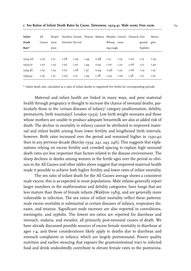| Infant<br>Death<br>Rate* | All<br>Causes | Respir-<br>atory<br>(PBI) | Enteritis Dis.Inf. |              |              |              | Whoop-sions<br>ing cough |              | Diarrhea, Certain Tetanus Malaria Measles, Convul- Stomach Con- | genital<br>Syphilis | Menin-<br>gitis |
|--------------------------|---------------|---------------------------|--------------------|--------------|--------------|--------------|--------------------------|--------------|-----------------------------------------------------------------|---------------------|-----------------|
| 1924-26                  | I.20          | I.I7                      | 1.08               | I.29         | I.44         | 0.98         | I.I3                     | 1.19         | I.OO                                                            | I.I3                | I.29            |
| 1929-31<br>1934-36       | I.20<br>I.IQ  | I.IQ<br>1.19              | I.05<br>I.07       | I.30<br>1.28 | I.44<br>I.37 | 0.95<br>0.94 | <b>I.OO</b><br>0.96      | I.22<br>I.25 | 1.06<br>1.06                                                    | I.I7<br>I.23        | I.40<br>I.25    |
| 1939-41                  | I.IQ          | I.2I                      | I.09               | I.2I         | 1.34         | 1.08         | I.04                     | <b>I.OO</b>  | 1.38                                                            | I.I7                | I.50            |

**c. Sex Ratios of Infant Death Rates by Cause, Taiwanese, 1924-41. Male asdr/ Fem asdr.** 

\* Infant death rate, calculated as a ratio of infant deaths to registered live births for corresponding periods.

Maternal and infant health are linked in many ways, and poor maternal health through pregnancy is thought to increase the chance of neonatal deaths, particularly those in the 'certain diseases of infancy' category (malformation, debility, prematurity, birth trauma)(cf. Loudon 1992). Low birth weight neonates and those whose mothers are unable to produce adequate breastmilk are also at added risk of death. The decline in mortality in infancy cannot be attributed to improved maternal and infant health arising from lower fertility and lengthened birth intervals, however. Birth rates increased over the period and remained higher in 1930-40 than in any previous decade (Barclay 1954: 241, 243, 246). This suggests that explanations relying on excess fertility and crowded spacing to explain high neonatal death rates are less important than factors related to the disease environment. The sharp declines in deaths among women in the fertile ages over the period so obvious in the All Causes and other tables above suggest that improved maternal health made it possible to achieve both higher fertility and lower rates of infant mortality.

The sex ratio of infant death for the All Causes average shows a consistent male excess; this is as expected in most populations. Male infants generally report larger numbers in the malformation and debility categories, have lungs that are less mature than those of female infants (Waldron 1983), and are generally more vulnerable to infection. The sex ratios of infant mortality reflect these patterns: male excess mortality is substantial in certain diseases of infancy, respiratory diseases, and tetanus. Significant male excesses are also reported in convulsions, meningitis, and syphilis. The lowest sex ratios are reported for diarrheas and stomach, malaria, and measles, all primarily post-neonatal causes of death. We have already discussed possible sources of excess female mortality in diarrheas at ages 1-4, and these considerations likely apply to deaths due to diarrheas and stomach complaints in infancy, which are largely postneonatal. Poorer quality nutrition and earlier weaning that exposes the grastrointestinal tract to infected food and drink undoubtedly contribute to elevate female rates in the postneona-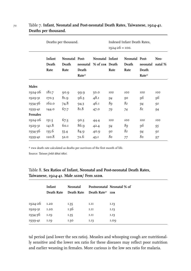|                |                         | Deaths per thousand.            |                |                                            | Indexed Infant Death Rates,<br>$1924 - 26 = 100.$ |                                 |                              |                 |  |  |
|----------------|-------------------------|---------------------------------|----------------|--------------------------------------------|---------------------------------------------------|---------------------------------|------------------------------|-----------------|--|--|
|                | Infant<br>Death<br>Rate | Neonatal Post-<br>Death<br>Rate | Death<br>Rate* | Neonatal Infant<br>neonatal % of IDR Death | Rate                                              | Neonatal Post-<br>Death<br>Rate | neonatal<br>Death<br>$Rate*$ | Neo-<br>natal % |  |  |
| <b>Males</b>   |                         |                                 |                |                                            |                                                   |                                 |                              |                 |  |  |
| 1924-26        | 181.7                   | 90.9                            | 99.9           | 50.0                                       | 100                                               | 100                             | 100                          | 100             |  |  |
| 1929-31        | I70.3                   | 81.9                            | 96.3           | 48.1                                       | 94                                                | 90                              | 96                           | 96              |  |  |
| 1934-36        | 162.0                   | 74.8                            | 94.3           | 46.1                                       | 89                                                | 82                              | 94                           | 92              |  |  |
| 1939-41        | 144.0                   | 67.7                            | 81.8           | 47.0                                       | 79                                                | 74                              | 82                           | 94              |  |  |
| <b>Females</b> |                         |                                 |                |                                            |                                                   |                                 |                              |                 |  |  |
| 1924-26        | 151.5                   | 67.3                            | 90.3           | 44.4                                       | 100                                               | 100                             | 100                          | 100             |  |  |
| 1929-31        | 141.8                   | 60.1                            | 86.9           | 42.4                                       | 94                                                | 89                              | 96                           | 95              |  |  |
| 1934-36        | 135.6                   | $55-4$                          | 84.9           | 40.9                                       | 90                                                | 82                              | 94                           | 92              |  |  |
| 1939-41        | 120.8                   | 52.0                            | 72.6           | 43.1                                       | 80                                                | 77                              | 80                           | 97              |  |  |

## Table 7. **Infant, Neonatal and Post-neonatal Death Rates, Taiwanese, 1924-41. Deaths per thousand.**

\* pnn death rate calculated as deaths per survivors of the first month of life.

Source: *Taiwan jinkō dōtai tōkei*.

|         | Infant<br>Death Rate | Neonatal<br><b>Death Rate</b> | Death Rate* IDR | Postneonatal Neonatal % of |
|---------|----------------------|-------------------------------|-----------------|----------------------------|
| 1924-26 | I.20                 | I.35                          | I.II            | I.I3                       |
| 1929-31 | I.20                 | 1.36                          | I.II            | I.I3                       |
| 1934-36 | <b>I.IQ</b>          | I.35                          | I.II            | I.I3                       |
| 1939-41 | 1.19                 | 1.30                          | I.I3            | I.09                       |

Table 8. **Sex Ratios of Infant, Neonatal and Post-neonatal Death Rates,** Taiwanese, 1924-41. Male ASDR/ Fem ASDR.

tal period (and lower the sex ratio). Measles and whooping cough are nutritionally sensitive and the lower sex ratio for these diseases may reflect poor nutrition and earlier weaning in females. More curious is the low sex ratio for malaria.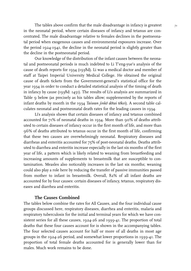The tables above confirm that the male disadvantage in infancy is greatest *71* in the neonatal period, where certain diseases of infancy and tetanus are concentrated. The male disadvantage relative to females declines in the postneonatal period when exogenous causes and environmental exposures increase. Over the period 1924-1941, the decline in the neonatal period is slightly greater than the decline in the postneonatal period.

Our knowledge of the distribution of the infant causes between the neonatal and postneonatal periods is much indebted to Li T'eng-yue's analysis of the cause of death reports for 1934 (1938d). Li was a medical doctor and member of staff at Taipei Imperial University Medical College. He obtained the original cause of death tickets from the Government-general's statistical office for the year 1934 in order to conduct a detailed statistical analysis of the timing of death in infancy by cause (1938d: 1451). The results of Li's analysis are summarized in Table 9 below (as precisely as his tables allow; supplemented by the reports of infant deaths by month in the 1934 *Taiwan jinkō dōtai tōkei*). A second table calculates neonatal and postneonatal death rates for the leading causes in 1934.

Li's analysis shows that certain diseases of infancy and tetanus combined accounted for 71% of neonatal deaths in 1934. More than 90% of deaths attributed to certain diseases of infancy occur in the first month of life, and more than 96% of deaths attributed to tetanus occur in the first month of life, confirming that these two causes are overwhelmingly neonatal. Respiratory diseases and diarrheas and enteritis accounted for 75% of post-neonatal deaths. Deaths attributed to diarrhea and enteritis increase especially in the last six months of the first year of life, a pattern which is likely related to weaning from breastfeeding and increasing amounts of supplements to breastmilk that are susceptible to contamination. Measles also noticeably increases in the last six months; weaning could also play a role here by reducing the transfer of passive immunities passed from mother to infant in breastmilk. Overall, 82% of all infant deaths are accounted for by four causes: certain diseases of infancy, tetanus, respiratory diseases and diarrhea and enteritis.

#### **The Causes Combined**

The tables below combine the rates for All Causes, and the four individual cause groups discussed here, respiratory diseases, diarrhea and enteritis, malaria and respiratory tuberculosis for the initial and terminal years for which we have consistent series for all these causes, 1924-26 and 1939-41. The proportion of total deaths that these four causes account for is shown in the accompanying tables. The four selected causes account for half or more of all deaths in most age groups in the 1924-26 period, and somewhat lower proportions in 1939-41. The proportion of total female deaths accounted for is generally lower than for males. Much work remains to be done.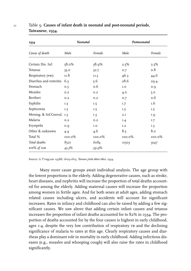| 1934                      | Neonatal |        | Postneonatal |        |
|---------------------------|----------|--------|--------------|--------|
| Cause of death            | Male     | Female | Male         | Female |
| Certain Dis. Inf.         | 38.0%    | 38.9%  | 2.5%         | 2.5%   |
| Tetanus                   | 33.0     | 32.7   | O.7          | 0.8    |
| Respiratory (PBI)         | 11.8     | II.5   | 46.3         | 44.6   |
| Diarrhea and enteritis    | 6.5      | 5.6    | 28.6         | 29.4   |
| Stomach                   | O.5      | 0.6    | I.O          | O.Q    |
| Measles                   | O.2      | O.2    | 4.0          | 5.0    |
| Beriberi                  | O.2      | O.2    | O.7          | 0.6    |
| Syphilis                  | I.3      | I.5    | I.7          | т.б    |
| Septicemia                | I.5      | 1.5    | I.5          | I.5    |
| Mening. & Inf.Convul. 1.5 |          | I.3    | 2.I          | I.Q    |
| Malaria                   | O.2      | O.2    | I.4          | 1.7    |
| Erysipelis                | O.Q      | I.O    | I.2          | I.3    |
| Other & unknown           | 4.4      | 4.6    | 8.3          | 8.0    |
| Total %                   | 100.0%   | 100.0% | 100.0%       | 100.0% |
| Total deaths              | 8520     | 6084   | 10303        | 9147   |
| NN% of IDR                | 45.3%    | 39.9%  |              |        |

## Table 9. **Causes of infant death in neonatal and post-neonatal periods, Taiwanese, 1934.**

Source: Li T'eng-yue 1938d: 1609-1615, *Taiwan jinkō dōtai tōkei*, 1934.

Many more cause groups await individual analysis. The age group with the lowest proportions is the elderly. Adding degenerative causes, such as stroke, heart diseases, and nephritis will increase the proportion of total deaths accounted for among the elderly. Adding maternal causes will increase the proportion among women in fertile ages. And for both sexes at adult ages, adding stomach related causes including ulcers, and accidents will account for significant increases. Rates in infancy and childhood can also be raised by adding a few significant causes. We saw above that adding certain infant causes and tetanus increases the proportion of infant deaths accounted for to 82% in 1934. The proportion of deaths accounted for by the four causes is highest in early childhood, ages I-4, despite the very low contribution of respiratory TB and the declining significance of malaria to rates at this age. Clearly respiratory causes and diarrheas play a dominant role in mortality in early childhood. Adding infectious diseases (e.g., measles and whooping cough) will also raise the rates in childhood significantly.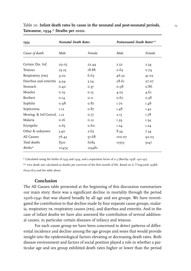| 1934                       | <b>Neonatal Death Rates</b> |        | Postneonatal Death Rates** |        |
|----------------------------|-----------------------------|--------|----------------------------|--------|
| Cause of death             | Male                        | Female | Male                       | Female |
| Certain Dis. Inf.          | 29.05                       | 22.44  | 2.52                       | 2.34   |
| Tetanus                    | 25.25                       | 18.88  | 0.65                       | 0.74   |
| Respiratory (PBI)          | 9.02                        | 6.63   | 46.32                      | 41.02  |
| Diarrhea and enteritis     | 4.94                        | 3.24   | 28.6 <sub>T</sub>          | 27.07  |
| Stomach                    | 0.40                        | 0.37   | 0.98                       | 0.86   |
| Measles                    | 0.19                        | 0.13   | 4.05                       | 4.61   |
| Beriberi                   | O.I4                        | 0.11   | 0.67                       | 0.58   |
| Syphilis                   | 0.98                        | 0.87   | <b>1.70</b>                | 1.48   |
| Septicemia                 | T.T2                        | 0.87   | 1.48                       | 1.42   |
| Mening. & Inf.Convul. 1.12 |                             | 0.77   | 2.13                       | 1.78   |
| Malaria                    | 0.16                        | 0.12   | I.39                       | I.54   |
| Erysipelis                 | 0.65                        | 0.60   | I.24                       | I.24   |
| Other & unknown            | 3.40                        | 2.65   | 8.34                       | 7.34   |
| All Causes                 | 76.43                       | 57.68  | 100.07                     | 92.03  |
| Total deaths               | 8520                        | 6084   | 10303                      | 9147   |
| $Births*$                  | 111474                      | 105480 |                            |        |

Table 10. **Infant death rates by cause in the neonatal and post-neonatal periods, Taiwanese, 1934.**\* **Deaths per 1000.**

\* Calculated using the births of 1933 and 1934, and a separation factor of 0.3 (Barclay 1958: 140-141).

\*\* pnn death rate calculated as deaths per survivors of the first month of life. Based on Li T'eng-yueh 1938d: 1609-1615 and the table above.

## **Conclusion**

The All Causes table presented at the beginning of this discussion summarizes our main story: there was a significant decline in mortality through the period 1906-1941 that was shared broadly by all age and sex groups. We have investigated the contribution to that decline made by four separate cause groups, malaria, respiratory TB, respiratory causes (PBI), and diarrhea and enteritis. And in the case of infant deaths we have also assessed the contribution of several additional causes, in particular certain diseases of infancy and tetanus.

For each cause group we have been concerned to detect patterns of differential incidence and decline among the age groups and sexes that would provide insight into the epidemiological factors elevating or decreasing death rates. Both disease environment and factors of social position played a role in whether a particular age and sex group exhibited death rates higher or lower than the period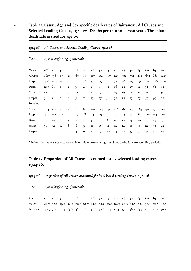*74* Table 11. **Cause, Age and Sex specific death rates of Taiwanese, All Causes and Selected Leading Causes, 1924-26. Deaths per 10,000 person years. The infant death rate is used for age 0-1.**

| Years   |                         |                         |                |                | Age at beginning of interval: |                |          |                |     |             |     |     |                 |            |     |             |
|---------|-------------------------|-------------------------|----------------|----------------|-------------------------------|----------------|----------|----------------|-----|-------------|-----|-----|-----------------|------------|-----|-------------|
| Males   | o*                      | I                       | 5              | IO             | 15                            | 20             | 25       | 30             | 35  | 40          | 45  | 50  | 55              | 60         | 65  | 70          |
| AllCaus | 1817 356                |                         | 67             | 39             | 60                            | 89             | II7      | 154            | 197 | 243         | 302 | 372 | 485             | 674        | 881 | 1443        |
| Resp    | 496                     | 140                     | 20             | IO             | 16                            | 26             | 37       | 49             | 63  | 77          | 96  | II7 | 153             | 214        | 278 | 406         |
| Diarr.  | 297                     | 89                      | 7              | 3              | 3                             | $\overline{4}$ | 6        | $\overline{9}$ | 13  | 16          | 20  | 27  | 32              | 52         | 61  | 94          |
| Malar.  | 52                      | 27                      | <b>I2</b>      | $\circ$        | $^{\rm I2}$                   | 13             | I4       | 15             | 18  | 19          | 19  | 20  | $2\,\mathrm{I}$ | 24         | 3I  | 35          |
| ResprB  | $\overline{\mathbf{3}}$ | $\mathbf{2}$            | $\mathbf I$    | $\mathbf I$    | 5                             | $\rm II$       | I7       | 27             | 36  | 50          | 65  | 77  | 8 <sub>7</sub>  | 97         | 95  | 80          |
| Females |                         |                         |                |                |                               |                |          |                |     |             |     |     |                 |            |     |             |
| AllCaus | 1515                    | 417                     | 7 <sub>I</sub> | 36             | 56                            | 84             | IOI      | 124            | 144 | 148         | 168 | 217 | 284             | 414        | 578 | <b>II20</b> |
| Resp    | 425                     | 152                     | ${\bf 22}$     | $\mathbf Q$    | 13                            | 18             | 24       | 29             | 32  | 35          | 44  | 56  | 82              | <b>I20</b> | 154 | 273         |
| Diarr.  | 275                     | IIO                     | 8              | $\overline{a}$ | $\mathbf{2}$                  | 3              | 5        | 6              | 8   | $\circ$     | IO  | I3  | 20              | 28         | 43  | 77          |
| Malar.  | 53                      | 34                      | 14             | 8              | 8                             | $\mathbf Q$    | $\rm II$ | 13             | 14  | $^{\rm I2}$ | 14  | I7  | I7              | ${\bf 22}$ | 30  | 42          |
| ResprB  | $\overline{3}$          | $\overline{\mathbf{c}}$ | $\mathbf I$    | I              | $\overline{4}$                | $\overline{9}$ | 13       | 15             | 20  | 23          | 28  | 37  | 38              | 4I         | 51  | 47          |

| 1924-26<br>All Causes and Selected Leading Causes, 1924-26 |  |
|------------------------------------------------------------|--|
|------------------------------------------------------------|--|

\* Infant death rate, calculated as a ratio of infant deaths to registered live births for corresponding periods.

# **Table 12 Proportion of All Causes accounted for by selected leading causes, 1924-26.**

| 1924-26 Proportion of All Causes accounted for by Selected Leading Causes, 1924-26 |
|------------------------------------------------------------------------------------|
|                                                                                    |

| Years   | Age at beginning of interval: |  |  |  |                                                                                 |  |  |  |  |  |  |  |  |  |  |
|---------|-------------------------------|--|--|--|---------------------------------------------------------------------------------|--|--|--|--|--|--|--|--|--|--|
| Age     | $O$ I                         |  |  |  | 5 10 15 20 25 30 35 40 45 50 55 60 65 70                                        |  |  |  |  |  |  |  |  |  |  |
| Males   |                               |  |  |  | 46.7 72.5 59.7 59.0 60.0 60.7 63.2 64.9 66.0 66.7 66.2 64.8 60.4 57.4 52.8 42.6 |  |  |  |  |  |  |  |  |  |  |
| Females |                               |  |  |  | 49.9 71.5 63.4 55.6 48.2 46.4 52.5 50.8 51.4 53.4 57.1 56.7 55.3 51.0 48.1 39.2 |  |  |  |  |  |  |  |  |  |  |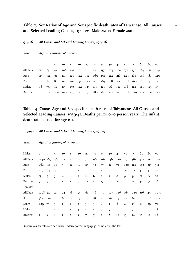| Years   | Age at beginning of interval: |                |             |                                                         |       |                                                 |  |          |  |  |          |     |             |  |
|---------|-------------------------------|----------------|-------------|---------------------------------------------------------|-------|-------------------------------------------------|--|----------|--|--|----------|-----|-------------|--|
|         | $\circ$                       | $\mathbf{I}$   | $5^{\circ}$ | IO                                                      | 15 20 |                                                 |  | 25 30 35 |  |  | 40 45 50 |     | 55 60 65 70 |  |
| AllCaus | 120                           | 85.            | $Q_4$       | 108 107 106 116 124 137 164 180 171                     |       |                                                 |  |          |  |  |          | I7I | 163 152 129 |  |
| Resp    | II7                           | Q <sub>2</sub> | QI          | III                                                     |       | 123 144 154 169 197 220 218 209 187 178 181 149 |  |          |  |  |          |     |             |  |
| Diarr.  | 108 81                        |                | 88          | 150 150                                                 |       | 133 120 150 163 178 200 208 160 186 142 122     |  |          |  |  |          |     |             |  |
| Malar.  | 98                            | 79             | 86          | 113 150 144 127 115 129 158 136 118 124 109 103 83      |       |                                                 |  |          |  |  |          |     |             |  |
| Resptb  |                               | 100 100        |             | 100 100 125 122 131 180 180 217 232 208 229 237 186 170 |       |                                                 |  |          |  |  |          |     |             |  |

*924-26 All Causes and Selected Leading Causes, 1924-26*

Table 14. **Cause, Age and Sex specific death rates of Taiwanese, All Causes and Selected Leading Causes, 1939-41. Deaths per 10,000 person years. The infant death rate is used for age 0-1.**

| Age at beginning of interval: |                         |                      |                         |                |                                                                                 |             |                |                 |              |                                                 |         |     |                |     |      |
|-------------------------------|-------------------------|----------------------|-------------------------|----------------|---------------------------------------------------------------------------------|-------------|----------------|-----------------|--------------|-------------------------------------------------|---------|-----|----------------|-----|------|
| $\circ$                       | $\mathbf I$             | 5                    | 10                      | 15             | 20                                                                              | 25          | 30             | 35              | $40^{\circ}$ | 45                                              | 50      | 55  | 60             | 65  | 70   |
|                               |                         | 46                   | 27                      | 45             | 66                                                                              | 77          | 96             | 116             | 156          | 210                                             | 293     | 381 | 527            | 712 | 1291 |
| 468                           | 116                     | 15                   | 7                       | $^{\rm I2}$    | 19                                                                              | 23          | 30             | 37              | 52           | 70                                              | IOO     | 124 | 170            | 213 | 315  |
| 227                           | 64                      | $\overline{4}$       | 2                       | $\mathbf{2}$   | $\mathbf{2}% =\mathbf{1}_{B}\left( \mathbf{1}_{B}\right) ^{\ast}\mathbf{1}_{B}$ | 3           | $\overline{4}$ | $\overline{4}$  | 7            | $\rm II$                                        | 16      | 22  | 32             | 42  | 77   |
| 13                            | $\mathbf Q$             | 5                    | $\overline{4}$          | 6              | 7                                                                               | 6           | 6              | 7               | 7            | 8                                               | $\circ$ | 9   | $^{\rm I2}$    | 13  | 18   |
| 5                             | 3                       | I                    | $\mathbf I$             | $\overline{4}$ | $\circ$                                                                         | $^{\rm I2}$ | 14             | I7              | 19           | 23                                              | 29      | 35  | 35             | 34  | 26   |
|                               |                         |                      |                         |                |                                                                                 |             |                |                 |              |                                                 |         |     |                |     |      |
|                               |                         | 45                   | 24                      | 38             | 53                                                                              | 61          | 76             | QI              | 107          | 126                                             | 165     | 229 | 316            | 451 | IO7I |
| 387                           | 120                     | 15                   | 8                       | 9              | 13                                                                              | 15          | 18             | $2\,\mathrm{I}$ | 26           | 33                                              | 44      | 64  | 83             | 116 | 207  |
| 209                           | 77                      | 5                    | I                       | I              | $\mathbf 2$                                                                     | 3           | 3              | $\overline{4}$  | 5            | 6                                               | 8       | 13  | 2I             | 29  | 70   |
| 12                            | IO                      | 5                    | $\overline{\mathbf{3}}$ | $\overline{4}$ | $\overline{4}$                                                                  | 5           | 5              | 5               | 5            | 5                                               | 7       | 7   | $\overline{9}$ | IO  | 18   |
| 5                             | $\overline{\mathbf{3}}$ | I                    | I                       | 3              | $\overline{5}$                                                                  | 7           | 7              | 7               | 8            | IO                                              | 13      | 14  | 15             | I7  | 16   |
|                               |                         | 1440 289<br>1208 317 |                         |                |                                                                                 |             |                |                 |              | All Causes and Selected Leading Causes, 1939-41 |         |     |                |     |      |

Respiratory  $\texttt{ts}$  rates are seriously underreported in 1939-41, as noted in the text.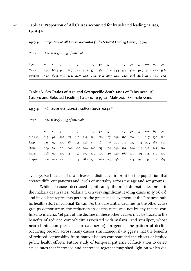## Table 15. **Proportion of All Causes accounted for by selected leading causes, 1939-41.**

| Years   | Age at beginning of interval: |  |  |  |  |  |                                                                                 |  |  |  |  |  |  |          |  |
|---------|-------------------------------|--|--|--|--|--|---------------------------------------------------------------------------------|--|--|--|--|--|--|----------|--|
| Age     |                               |  |  |  |  |  | 0 I 5 IO I5 20 25 30 35 40 45 50 55                                             |  |  |  |  |  |  | 60 65 70 |  |
| Males   |                               |  |  |  |  |  | 49.5 66.4 54.3 51.9 53.3 56.1 57.1 56.3 56.0 54.5 53.3 52.6 49.9 47.2 42.4 33.8 |  |  |  |  |  |  |          |  |
| Females |                               |  |  |  |  |  | 50.7 66.2 57.8 54.2 44.7 45.3 49.2 43.4 40.7 41.1 42.9 43.6 42.8 40.5 38.1 29.0 |  |  |  |  |  |  |          |  |

*1939-41 Proportion of All Causes accounted for by Selected Leading Causes, 1939-41*

Table 16. **Sex Ratios of Age and Sex specific death rates of Taiwanese, All Causes and Selected Leading Causes, 1939-41. Male ASDR/Female ASDR.** 

| 1939-41 |            | All Causes and Selected Leading Causes, 1924-26 |             |      |     |     |    |    |    |                                                    |  |    |     |     |          |     |
|---------|------------|-------------------------------------------------|-------------|------|-----|-----|----|----|----|----------------------------------------------------|--|----|-----|-----|----------|-----|
| Years   |            | Age at beginning of interval:                   |             |      |     |     |    |    |    |                                                    |  |    |     |     |          |     |
|         | $\circ$    | $\mathbf I$                                     | $5^{\circ}$ | 10   | 15  | 20  | 25 | 30 | 35 | $40 \t 45$                                         |  | 50 | 55  |     | 60 65 70 |     |
| AllCaus | IIQ        | QI                                              | 102         | II3  |     |     |    |    |    | 118 125 126 126 127 146 167 178 166 167 158        |  |    |     |     |          | 12I |
| Resp    | <b>I2I</b> | Q7                                              | IOO         | - 88 |     |     |    |    |    | 133 146 153 167 176 200 212 227 194 205 184 152    |  |    |     |     |          |     |
| Diarr.  | <b>IOQ</b> | 83                                              |             |      |     |     |    |    |    | 80 200 200 100 100 133 100 140 183 200 169 152 145 |  |    |     |     |          | IIO |
| Malar.  | 108        | QQ                                              | IOO         | 133  | 150 | I75 |    |    |    | 120 120 140 140 160 129                            |  |    | 129 | 133 | 130      | IOO |
| Respte  | 100        | IOO                                             |             |      |     |     |    |    |    | 100 100 133 180 171 200 243 238 230 223 250 233    |  |    |     |     | 200 163  |     |

average. Each cause of death leaves a distinctive imprint on the population that creates different patterns and levels of mortality across the age and sex groups.

While all causes decreased significantly, the most dramatic decline is in the malaria death rates. Malaria was a very significant leading cause in 1906-08, and its decline represents perhaps the greatest achievement of the Japanese public health effort in colonial Taiwan. As the substantial declines in the other cause groups demonstrate, the reduction in deaths rates was not by any means confined to malaria. Yet part of the decline in these other causes may be traced to the benefits of reduced comorbidity associated with malaria (and smallpox, whose near elimination preceded our data series). In general the pattern of decline occurring broadly across many causes simultaneously suggests that the benefits of reduced comorbidity from many diseases compounded the effects of limited public health efforts. Future study of temporal patterns of fluctuation to detect cause rates that increased and decreased together may shed light on which dis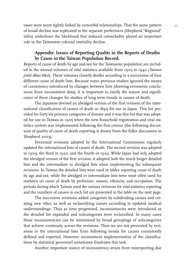eases were more tightly linked by comorbid relationships. That the same pattern *77* of broad decline was replicated in the separate prefectures (Shepherd "Regional" infra) underlines the likelihood that reduced comorbidity played an important role in the Taiwanese colonial mortality decline.

## **Appendix: Issues of Reporting Quality in the Reports of Deaths by Cause in the Taiwan Population Record.**

Reports of cause of death by age and sex for the Taiwanese population are included in the annual volumes of vital statistics available from 1905 to 1942 (*Taiwan jinkō dōtai tōkei*). These volumes classify deaths according to a succession of four different cause of death lists. Because some previous studies ignored the issues of consistency introduced by changes between lists (drawing erroneous conclusions from inconsistent data), it is important to clarify the nature and significance of these changes for studies of long term trends in causes of death.

The Japanese devised an abridged version of the first revision of the international classification of causes of death in 1899 for use in Japan. This list provided for forty-six primary categories of disease and it was this list that was adopted for use in Taiwan in 1905 when the new household registration and vital statistics system was implemented following the first census (the following discussion of quality of cause of death reporting is drawn from the fuller discussion in Shepherd 2003).

Decennial revisions adopted by the International Commission regularly updated the international lists of causes of death. The second revision was adopted in 1909, the third in 1920, and the fourth in 1929. While Japan had only adopted the abridged version of the first revision, it adopted both the much longer detailed lists and the intermediate or abridged lists when implementing the subsequent revisions. In Taiwan the detailed lists were used in tables reporting cause of death by age and sex, while the abridged or intermediate lists were most often used for statistics on cause of death by prefecture, season, ethnicity, and occupation. The periods during which Taiwan used the various revisions for vital statistics reporting and the numbers of causes in each list are presented in the table on the next page.

The successive revisions added categories by subdividing causes and creating new titles, as well as reclassifying causes according to updated medical understandings. Thus as time progressed, inconsistencies were introduced as the detailed list expanded and subcategories were reclassified. In many cases these inconsistencies can be minimized by broad groupings of subcategories that achieve continuity across the revisions. Thus we are not prevented by revisions in the international lists from following trends for causes consistently defined and reported. However, inconsistent implementation of the classifications by statistical personnel sometimes frustrates this task.

Another important source of inconsistency arises from misreporting due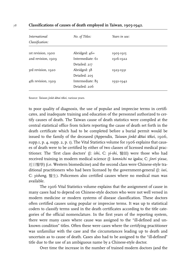| International<br>Classification:         | No. of Titles:                      | Years in use:          |
|------------------------------------------|-------------------------------------|------------------------|
| Ist revision, 1900<br>2nd revision, 1909 | Abridged: $46+$<br>Intermediate: 61 | 1905-1915<br>1916-1922 |
|                                          | Detailed: 217                       |                        |
| 3rd revision, 1920                       | Abridged: 38<br>Detailed: 205       | 1923-1931              |
| 4th revision, 1929                       | Intermediate: 85<br>Detailed: 206   | 1932-1942              |

#### **Classifications of causes of death employed in Taiwan, 1905-1942.**

Source: *Taiwan jinkō dōtai tōkei*, various years.

to poor quality of diagnosis, the use of popular and imprecise terms in certificates, and inadequate training and education of the personnel authorized to certify causes of death. The Taiwan cause of death statistics were compiled at the central statistical office from tickets reporting the cause of death set forth in the death certificate which had to be completed before a burial permit would be issued to the family of the deceased (Appendix, *Taiwan jinkō dōtai tōkei*, 1906, supp.1, p. 4, supp. 2, p. 1). The Vital Statistics volume for 1906 explains that causes of death were to be certified by either of two classes of licensed medical practitioner. The 'first class doctors' (J: *ishi*, C: *yi-shi*, 醫師) were those who had received training in modern medical science (J: *konnichi no igaku*; C: *jinri yixue*, 近日醫學) (i.e. Western biomedicine) and the second class were Chinese-style traditional practitioners who had been licensed by the government-general (J: *isei*, C: *yisheng*, 醫生). Policemen also certified causes where no medical man was available.

The 1906 Vital Statistics volume explains that the assignment of cause in many cases had to depend on Chinese-style doctors who were not well versed in modern medicine or modern systems of disease classification. These doctors often certified causes using popular or imprecise terms. It was up to statistical coders to classify terms used in the death certificates according to the title categories of the official nomenclature. In the first years of the reporting system, there were many cases where cause was assigned to the "ill-defined and unknown condition" titles. Often these were cases where the certifying practitioner was unfamiliar with the case and the circumstances leading up to death and uncertain as to cause of death. Cases also had to be assigned to the "ill-defined" title due to the use of an ambiguous name by a Chinese-style doctor.

Over time the increase in the number of trained modern doctors (and the